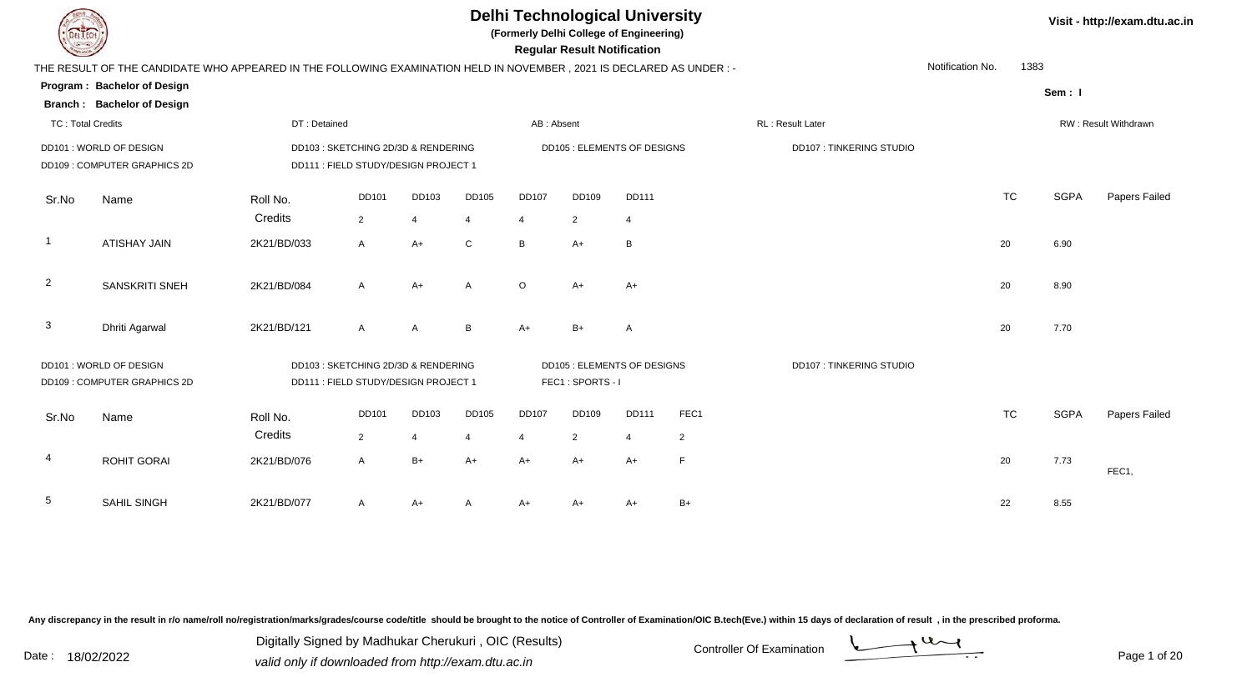| THE RESULT OF THE CANDIDATE WHO APPE |
|--------------------------------------|
| Program: Bachelor of Design          |
| <b>Branch: Bachelor of Design</b>    |
| TC: Total Credits                    |
|                                      |

**(Formerly Delhi College of Engineering)**

 **Regular Result Notification**

|                          | THE RESULT OF THE CANDIDATE WHO APPEARED IN THE FOLLOWING EXAMINATION HELD IN NOVEMBER, 2021 IS DECLARED AS UNDER :- |              |                                      |                |                 |                |                             |              |                |                         | Notification No. | 1383      |             |                      |
|--------------------------|----------------------------------------------------------------------------------------------------------------------|--------------|--------------------------------------|----------------|-----------------|----------------|-----------------------------|--------------|----------------|-------------------------|------------------|-----------|-------------|----------------------|
|                          | Program: Bachelor of Design                                                                                          |              |                                      |                |                 |                |                             |              |                |                         |                  |           | Sem: I      |                      |
|                          | <b>Branch: Bachelor of Design</b>                                                                                    |              |                                      |                |                 |                |                             |              |                |                         |                  |           |             |                      |
| <b>TC: Total Credits</b> |                                                                                                                      | DT: Detained |                                      |                |                 | AB: Absent     |                             |              |                | RL: Result Later        |                  |           |             | RW: Result Withdrawn |
|                          | DD101: WORLD OF DESIGN                                                                                               |              | DD103 : SKETCHING 2D/3D & RENDERING  |                |                 |                | DD105 : ELEMENTS OF DESIGNS |              |                | DD107: TINKERING STUDIO |                  |           |             |                      |
|                          | DD109 : COMPUTER GRAPHICS 2D                                                                                         |              | DD111 : FIELD STUDY/DESIGN PROJECT 1 |                |                 |                |                             |              |                |                         |                  |           |             |                      |
| Sr.No                    | Name                                                                                                                 | Roll No.     | DD101                                | DD103          | DD105           | <b>DD107</b>   | DD109                       | <b>DD111</b> |                |                         |                  | <b>TC</b> | <b>SGPA</b> | Papers Failed        |
|                          |                                                                                                                      | Credits      | $\overline{2}$                       |                | $\overline{4}$  | 4              | $\overline{2}$              | 4            |                |                         |                  |           |             |                      |
| $\overline{1}$           |                                                                                                                      |              |                                      |                |                 |                |                             |              |                |                         |                  |           |             |                      |
|                          | <b>ATISHAY JAIN</b>                                                                                                  | 2K21/BD/033  | $\mathsf{A}$                         | $A+$           | $\mathsf{C}$    | B              | $A+$                        | B            |                |                         |                  | 20        | 6.90        |                      |
|                          |                                                                                                                      |              |                                      |                |                 |                |                             |              |                |                         |                  |           |             |                      |
| $\overline{2}$           | <b>SANSKRITI SNEH</b>                                                                                                | 2K21/BD/084  | $\mathsf{A}$                         | $A+$           | A               | $\circ$        | $A+$                        | $A+$         |                |                         |                  | 20        | 8.90        |                      |
|                          |                                                                                                                      |              |                                      |                |                 |                |                             |              |                |                         |                  |           |             |                      |
| $\mathbf{3}$             | Dhriti Agarwal                                                                                                       | 2K21/BD/121  | $\mathsf{A}$                         | $\overline{A}$ | $\, {\bf B} \,$ | $A+$           | $B+$                        | A            |                |                         |                  | 20        | 7.70        |                      |
|                          | DD101 : WORLD OF DESIGN                                                                                              |              | DD103: SKETCHING 2D/3D & RENDERING   |                |                 |                | DD105 : ELEMENTS OF DESIGNS |              |                | DD107: TINKERING STUDIO |                  |           |             |                      |
|                          | DD109 : COMPUTER GRAPHICS 2D                                                                                         |              | DD111 : FIELD STUDY/DESIGN PROJECT 1 |                |                 |                | FEC1: SPORTS-I              |              |                |                         |                  |           |             |                      |
|                          |                                                                                                                      |              |                                      |                |                 |                |                             |              |                |                         |                  |           |             |                      |
| Sr.No                    | Name                                                                                                                 | Roll No.     | <b>DD101</b>                         | DD103          | <b>DD105</b>    | <b>DD107</b>   | DD109                       | <b>DD111</b> | FEC1           |                         |                  | <b>TC</b> | <b>SGPA</b> | Papers Failed        |
|                          |                                                                                                                      | Credits      | $\overline{2}$                       | $\overline{4}$ | $\overline{4}$  | $\overline{4}$ | $\overline{2}$              | 4            | $\overline{2}$ |                         |                  |           |             |                      |
| 4                        | <b>ROHIT GORAI</b>                                                                                                   | 2K21/BD/076  | $\mathsf{A}$                         | $B+$           | $A+$            | $A+$           | $A+$                        | $A+$         | $\mathsf F$    |                         |                  | 20        | 7.73        |                      |
|                          |                                                                                                                      |              |                                      |                |                 |                |                             |              |                |                         |                  |           |             | FEC1,                |
| $5\phantom{.0}$          | SAHIL SINGH                                                                                                          | 2K21/BD/077  | A                                    | A+             | A               | A+             | A+                          | A+           | $B+$           |                         |                  | 22        | 8.55        |                      |
|                          |                                                                                                                      |              |                                      |                |                 |                |                             |              |                |                         |                  |           |             |                      |

Any discrepancy in the result in r/o name/roll no/registration/marks/grades/course code/title should be brought to the notice of Controller of Examination/OIC B.tech(Eve.) within 15 days of declaration of result, in the pr

Date : 18/02/2022<br>
valid only if downloaded from http://exam.dtu.ac.in<br>
Date : 18/02/2022 Digitally Signed by Madhukar Cherukuri , OIC (Results)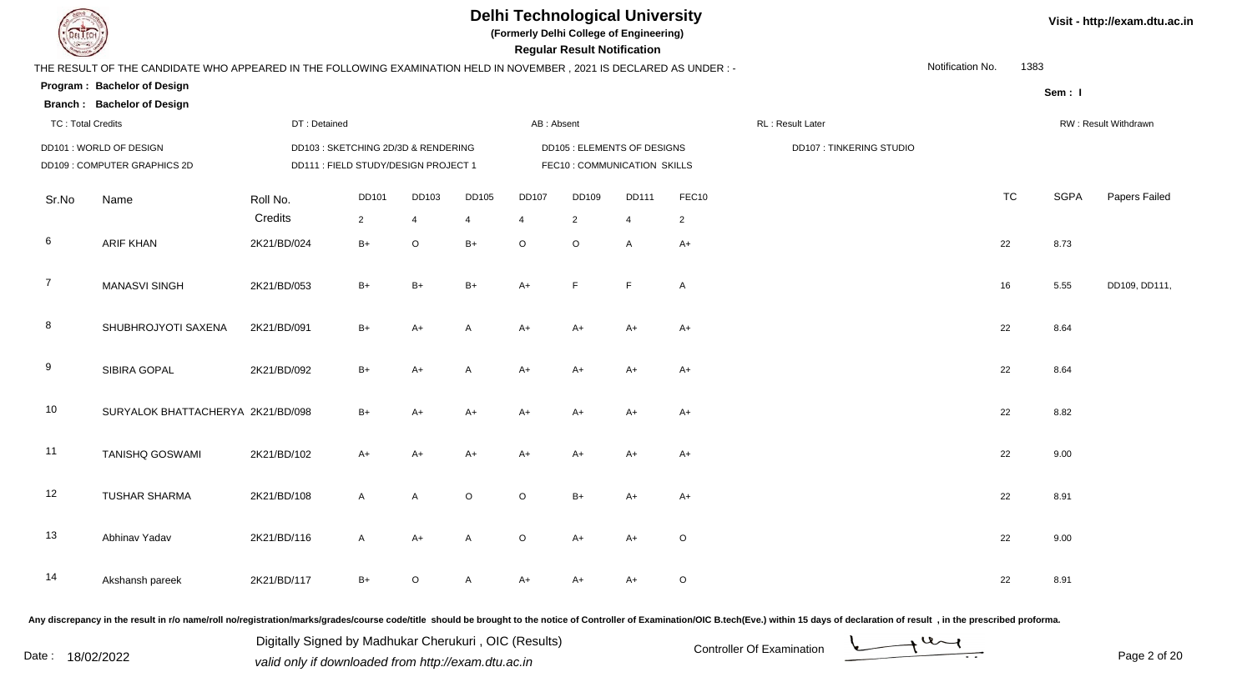

**(Formerly Delhi College of Engineering)**

| <b>Course of A</b>       |                                                                                                                        |                                      |                |                |         |                | <b>Regular Result Notification</b> |                |                |                                |                  |           |             |                      |
|--------------------------|------------------------------------------------------------------------------------------------------------------------|--------------------------------------|----------------|----------------|---------|----------------|------------------------------------|----------------|----------------|--------------------------------|------------------|-----------|-------------|----------------------|
|                          | THE RESULT OF THE CANDIDATE WHO APPEARED IN THE FOLLOWING EXAMINATION HELD IN NOVEMBER , 2021 IS DECLARED AS UNDER : - |                                      |                |                |         |                |                                    |                |                |                                | Notification No. | 1383      |             |                      |
|                          | Program: Bachelor of Design                                                                                            |                                      |                |                |         |                |                                    |                |                |                                |                  |           | Sem: I      |                      |
|                          | <b>Branch: Bachelor of Design</b>                                                                                      |                                      |                |                |         |                |                                    |                |                |                                |                  |           |             |                      |
| <b>TC: Total Credits</b> |                                                                                                                        | DT: Detained                         |                |                |         | AB: Absent     |                                    |                |                | <b>RL</b> : Result Later       |                  |           |             | RW: Result Withdrawn |
|                          | DD101 : WORLD OF DESIGN                                                                                                | DD103 : SKETCHING 2D/3D & RENDERING  |                |                |         |                | DD105 : ELEMENTS OF DESIGNS        |                |                | <b>DD107: TINKERING STUDIO</b> |                  |           |             |                      |
|                          | DD109: COMPUTER GRAPHICS 2D                                                                                            | DD111 : FIELD STUDY/DESIGN PROJECT 1 |                |                |         |                | FEC10 : COMMUNICATION SKILLS       |                |                |                                |                  |           |             |                      |
| Sr.No                    | Name                                                                                                                   | Roll No.                             | <b>DD101</b>   | DD103          | DD105   | <b>DD107</b>   | DD109                              | <b>DD111</b>   | FEC10          |                                |                  | <b>TC</b> | <b>SGPA</b> | Papers Failed        |
|                          |                                                                                                                        | Credits                              | $\overline{2}$ | $\overline{4}$ | 4       | $\overline{4}$ | $\overline{2}$                     | $\overline{4}$ | $\overline{2}$ |                                |                  |           |             |                      |
| 6                        | <b>ARIF KHAN</b>                                                                                                       | 2K21/BD/024                          | $B+$           | $\circ$        | $B+$    | $\circ$        | $\circ$                            | A              | $A+$           |                                |                  | 22        | 8.73        |                      |
| $\overline{7}$           | <b>MANASVI SINGH</b>                                                                                                   | 2K21/BD/053                          | $B+$           | $B+$           | $B+$    | $A+$           | E                                  | F              | A              |                                |                  | 16        | 5.55        | DD109, DD111,        |
| 8                        | SHUBHROJYOTI SAXENA                                                                                                    | 2K21/BD/091                          | $B+$           | $A+$           | Α       | $A+$           | $A+$                               | $A+$           | A+             |                                |                  | 22        | 8.64        |                      |
| 9                        | SIBIRA GOPAL                                                                                                           | 2K21/BD/092                          | $B+$           | $A+$           | A       | $A+$           | $A+$                               | $A+$           | $A+$           |                                |                  | 22        | 8.64        |                      |
| 10                       | SURYALOK BHATTACHERYA 2K21/BD/098                                                                                      |                                      | $B+$           | $A+$           | $A+$    | $A+$           | $A+$                               | $A+$           | $A+$           |                                |                  | 22        | 8.82        |                      |
| 11                       | <b>TANISHQ GOSWAMI</b>                                                                                                 | 2K21/BD/102                          | $A+$           | $A+$           | $A+$    | $A+$           | $A+$                               | $A+$           | $A+$           |                                |                  | 22        | 9.00        |                      |
| 12                       | <b>TUSHAR SHARMA</b>                                                                                                   | 2K21/BD/108                          | $\overline{A}$ | $\overline{A}$ | $\circ$ | $\circ$        | $B+$                               | $A+$           | $A+$           |                                |                  | 22        | 8.91        |                      |
| 13                       | Abhinav Yadav                                                                                                          | 2K21/BD/116                          | $\mathsf{A}$   | $A+$           | A       | $\circ$        | $A+$                               | $A+$           | $\mathsf O$    |                                |                  | 22        | 9.00        |                      |
| 14                       | Akshansh pareek                                                                                                        | 2K21/BD/117                          | $B+$           | $\circ$        | A       | $A+$           | A+                                 | A+             | $\mathsf O$    |                                |                  | 22        | 8.91        |                      |

Any discrepancy in the result in r/o name/roll no/registration/marks/grades/course code/title should be brought to the notice of Controller of Examination/OIC B.tech(Eve.) within 15 days of declaration of result, in the pr

Date : 18/02/2022<br>
valid only if downloaded from http://exam.dtu.ac.in<br>
Date : 18/02/2022 Digitally Signed by Madhukar Cherukuri , OIC (Results)

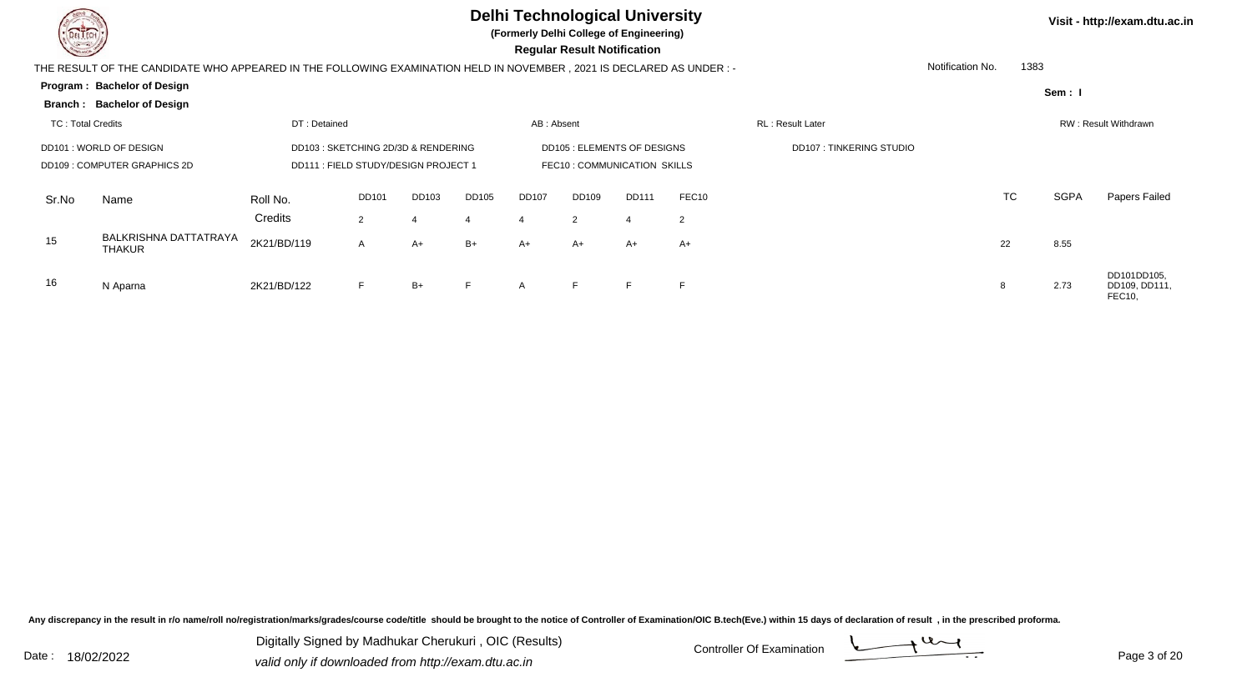

**(Formerly Delhi College of Engineering)**

 **Regular Result Notification**

|                          | THE RESULT OF THE CANDIDATE WHO APPEARED IN THE FOLLOWING EXAMINATION HELD IN NOVEMBER, 2021 IS DECLARED AS UNDER :- |              |                                      |       |                |              |                                    |              |       |                                | Notification No. | 1383      |             |                                              |
|--------------------------|----------------------------------------------------------------------------------------------------------------------|--------------|--------------------------------------|-------|----------------|--------------|------------------------------------|--------------|-------|--------------------------------|------------------|-----------|-------------|----------------------------------------------|
|                          | Program: Bachelor of Design                                                                                          |              |                                      |       |                |              |                                    |              |       |                                |                  |           | Sem: I      |                                              |
|                          | Branch: Bachelor of Design                                                                                           |              |                                      |       |                |              |                                    |              |       |                                |                  |           |             |                                              |
| <b>TC: Total Credits</b> |                                                                                                                      | DT: Detained |                                      |       |                | AB: Absent   |                                    |              |       | RL: Result Later               |                  |           |             | RW: Result Withdrawn                         |
|                          | DD101: WORLD OF DESIGN                                                                                               |              | DD103 : SKETCHING 2D/3D & RENDERING  |       |                |              | <b>DD105 : ELEMENTS OF DESIGNS</b> |              |       | <b>DD107: TINKERING STUDIO</b> |                  |           |             |                                              |
|                          | DD109 : COMPUTER GRAPHICS 2D                                                                                         |              | DD111 : FIELD STUDY/DESIGN PROJECT 1 |       |                |              | FEC10: COMMUNICATION SKILLS        |              |       |                                |                  |           |             |                                              |
| Sr.No                    | Name                                                                                                                 | Roll No.     | <b>DD101</b>                         | DD103 | DD105          | <b>DD107</b> | DD109                              | <b>DD111</b> | FEC10 |                                |                  | <b>TC</b> | <b>SGPA</b> | <b>Papers Failed</b>                         |
|                          |                                                                                                                      | Credits      | 2                                    |       | $\overline{4}$ | $\Delta$     | 2                                  |              | 2     |                                |                  |           |             |                                              |
| 15                       | <b>BALKRISHNA DATTATRAYA</b><br><b>THAKUR</b>                                                                        | 2K21/BD/119  | $\mathsf{A}$                         | A+    | $B+$           | A+           | A+                                 | A+           | $A+$  |                                |                  | 22        | 8.55        |                                              |
| 16                       | N Aparna                                                                                                             | 2K21/BD/122  | F                                    | $B+$  | F              | A            | E                                  | F            |       |                                |                  |           | 2.73        | DD101DD105,<br>DD109, DD111.<br>$-$ - $\sim$ |

Any discrepancy in the result in r/o name/roll no/registration/marks/grades/course code/title should be brought to the notice of Controller of Examination/OIC B.tech(Eve.) within 15 days of declaration of result, in the pr

Digitally Signed by Madhukar Cherukuri, OIC (Results)<br>Date : 18/02/2022 valid only if downloaded from http://ovem.dtu.es.in Digitally Signed by Madhukar Cherukuri , OIC (Results)valid only if downloaded from http://exam.dtu.ac.in

**Visit - http://exam.dtu.ac.in**

FEC10,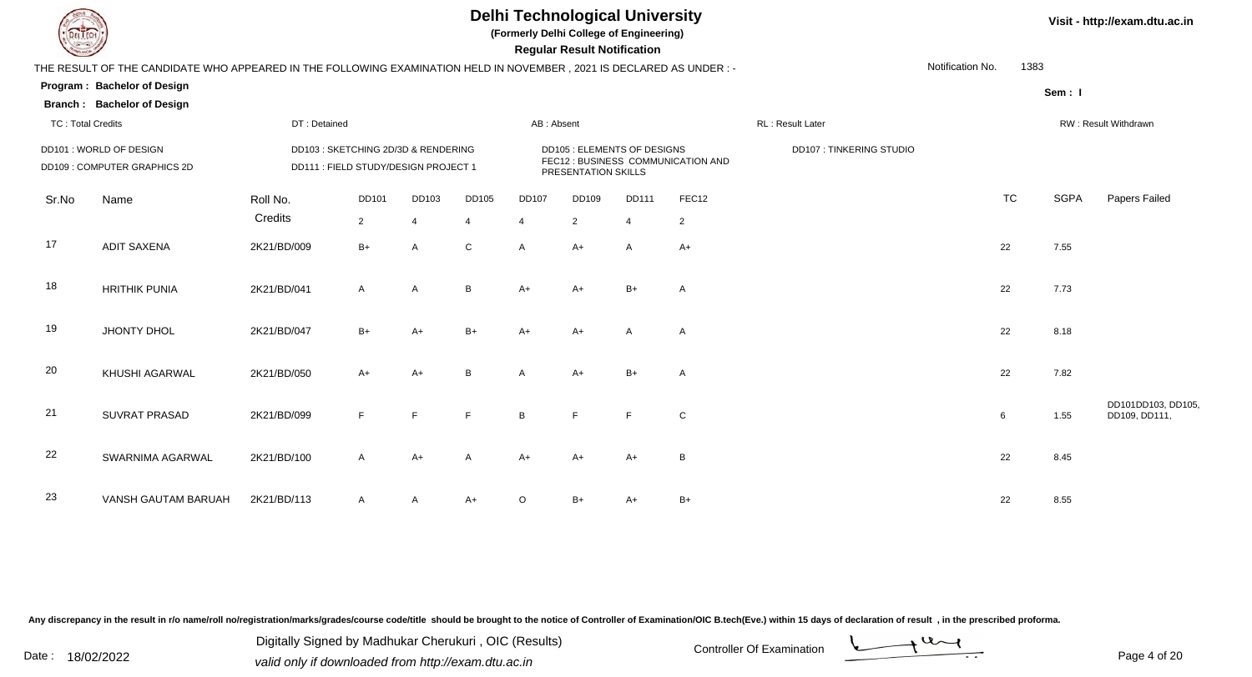

**(Formerly Delhi College of Engineering)**

**Regular Regular Results Notification** 

| <b>Country of Charles</b>                               |                                                                                                                      |                                                                            |                |                |                                                    |                | <b>Regular Result Notification</b> |                         |                |                  |                  |           |             |                                     |
|---------------------------------------------------------|----------------------------------------------------------------------------------------------------------------------|----------------------------------------------------------------------------|----------------|----------------|----------------------------------------------------|----------------|------------------------------------|-------------------------|----------------|------------------|------------------|-----------|-------------|-------------------------------------|
|                                                         | THE RESULT OF THE CANDIDATE WHO APPEARED IN THE FOLLOWING EXAMINATION HELD IN NOVEMBER, 2021 IS DECLARED AS UNDER :- |                                                                            |                |                |                                                    |                |                                    |                         |                |                  | Notification No. | 1383      |             |                                     |
|                                                         | Program: Bachelor of Design                                                                                          |                                                                            |                |                |                                                    |                |                                    |                         |                |                  |                  |           | Sem: I      |                                     |
|                                                         | <b>Branch: Bachelor of Design</b>                                                                                    |                                                                            |                |                |                                                    |                |                                    |                         |                |                  |                  |           |             |                                     |
| <b>TC: Total Credits</b>                                |                                                                                                                      | DT: Detained                                                               |                |                |                                                    | AB: Absent     |                                    |                         |                | RL: Result Later |                  |           |             | RW: Result Withdrawn                |
| DD101 : WORLD OF DESIGN<br>DD109 : COMPUTER GRAPHICS 2D |                                                                                                                      | DD103: SKETCHING 2D/3D & RENDERING<br>DD111 : FIELD STUDY/DESIGN PROJECT 1 |                |                | DD105 : ELEMENTS OF DESIGNS<br>PRESENTATION SKILLS |                | FEC12 : BUSINESS COMMUNICATION AND | DD107: TINKERING STUDIO |                |                  |                  |           |             |                                     |
| Sr.No                                                   | Name                                                                                                                 | Roll No.                                                                   | DD101          | DD103          | DD105                                              | <b>DD107</b>   | <b>DD109</b>                       | <b>DD111</b>            | FEC12          |                  |                  | <b>TC</b> | <b>SGPA</b> | Papers Failed                       |
|                                                         |                                                                                                                      | Credits                                                                    | $\overline{2}$ | $\overline{4}$ | $\overline{4}$                                     | $\overline{4}$ | $\overline{2}$                     | $\overline{4}$          | $\overline{2}$ |                  |                  |           |             |                                     |
| 17                                                      | <b>ADIT SAXENA</b>                                                                                                   | 2K21/BD/009                                                                | $B+$           | $\mathsf{A}$   | $\mathsf{C}$                                       | $\overline{A}$ | $A+$                               | $\mathsf{A}$            | $A+$           |                  |                  | 22        | 7.55        |                                     |
| 18                                                      | <b>HRITHIK PUNIA</b>                                                                                                 | 2K21/BD/041                                                                | A              | $\mathsf{A}$   | B                                                  | $A+$           | $A+$                               | $B+$                    | A              |                  |                  | 22        | 7.73        |                                     |
| 19                                                      | JHONTY DHOL                                                                                                          | 2K21/BD/047                                                                | $B+$           | $A+$           | $B+$                                               | $A+$           | $A+$                               | A                       | A              |                  |                  | 22        | 8.18        |                                     |
| 20                                                      | KHUSHI AGARWAL                                                                                                       | 2K21/BD/050                                                                | $A+$           | $A+$           | B                                                  | $\overline{A}$ | $A+$                               | $B+$                    | $\mathsf{A}$   |                  |                  | 22        | 7.82        |                                     |
| 21                                                      | <b>SUVRAT PRASAD</b>                                                                                                 | 2K21/BD/099                                                                | F.             | F              | F.                                                 | B              | E                                  | F                       | $\mathsf C$    |                  |                  | 6         | 1.55        | DD101DD103, DD105,<br>DD109, DD111, |
| 22                                                      | SWARNIMA AGARWAL                                                                                                     | 2K21/BD/100                                                                | $\mathsf{A}$   | $A+$           | $\mathsf{A}$                                       | $A+$           | $A+$                               | $A+$                    | B              |                  |                  | 22        | 8.45        |                                     |
| 23                                                      | VANSH GAUTAM BARUAH                                                                                                  | 2K21/BD/113                                                                | $\mathsf{A}$   | A              | $A+$                                               | $\Omega$       | $B+$                               | A+                      | $B+$           |                  |                  | 22        | 8.55        |                                     |

Any discrepancy in the result in r/o name/roll no/registration/marks/grades/course code/title should be brought to the notice of Controller of Examination/OIC B.tech(Eve.) within 15 days of declaration of result, in the pr

Digitally Signed by Madhukar Cherukuri, OIC (Results)<br>Date : 18/02/2022 valid only if downloaded from http://ovem.dtu.co.in Digitally Signed by Madhukar Cherukuri , OIC (Results)valid only if downloaded from http://exam.dtu.ac.in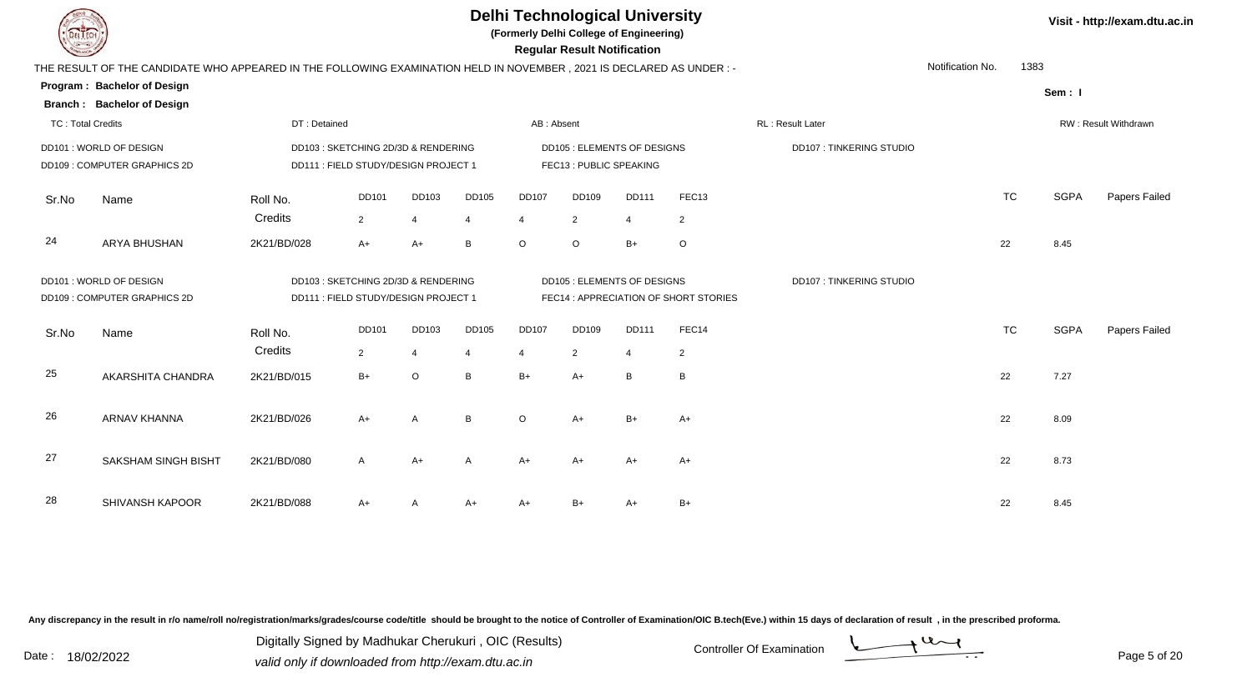| DEL TECH                 |                                                                                                                     |              |                                      |                |                | <b>Delhi Technological University</b><br>(Formerly Delhi College of Engineering) | <b>Regular Result Notification</b> |                                   |                                       |                         |                  |           |             | Visit - http://exam.d       |
|--------------------------|---------------------------------------------------------------------------------------------------------------------|--------------|--------------------------------------|----------------|----------------|----------------------------------------------------------------------------------|------------------------------------|-----------------------------------|---------------------------------------|-------------------------|------------------|-----------|-------------|-----------------------------|
|                          | THE RESULT OF THE CANDIDATE WHO APPEARED IN THE FOLLOWING EXAMINATION HELD IN NOVEMBER, 2021 IS DECLARED AS UNDER:- |              |                                      |                |                |                                                                                  |                                    |                                   |                                       |                         | Notification No. | 1383      |             |                             |
|                          | Program: Bachelor of Design                                                                                         |              |                                      |                |                |                                                                                  |                                    |                                   |                                       |                         |                  |           | Sem: I      |                             |
|                          | <b>Branch: Bachelor of Design</b>                                                                                   |              |                                      |                |                |                                                                                  |                                    |                                   |                                       |                         |                  |           |             |                             |
| <b>TC: Total Credits</b> |                                                                                                                     | DT: Detained |                                      |                |                | AB: Absent                                                                       |                                    |                                   |                                       | RL: Result Later        |                  |           |             | <b>RW: Result Withdrawr</b> |
|                          | DD101 : WORLD OF DESIGN                                                                                             |              | DD103 : SKETCHING 2D/3D & RENDERING  |                |                |                                                                                  |                                    | <b>DD105: ELEMENTS OF DESIGNS</b> |                                       | DD107: TINKERING STUDIO |                  |           |             |                             |
|                          | DD109: COMPUTER GRAPHICS 2D                                                                                         |              | DD111 : FIELD STUDY/DESIGN PROJECT 1 |                |                |                                                                                  | FEC13: PUBLIC SPEAKING             |                                   |                                       |                         |                  |           |             |                             |
| Sr.No                    | Name                                                                                                                | Roll No.     | <b>DD101</b>                         | DD103          | <b>DD105</b>   | <b>DD107</b>                                                                     | <b>DD109</b>                       | <b>DD111</b>                      | FEC <sub>13</sub>                     |                         |                  | <b>TC</b> | <b>SGPA</b> | Papers Fa                   |
|                          |                                                                                                                     | Credits      | 2                                    | 4              | $\overline{4}$ | 4                                                                                | 2                                  | $\overline{4}$                    | $\overline{2}$                        |                         |                  |           |             |                             |
| 24                       | ARYA BHUSHAN                                                                                                        | 2K21/BD/028  | $A+$                                 | $A+$           | B              | $\circ$                                                                          | $\circ$                            | $B+$                              | $\circ$                               |                         |                  | 22        | 8.45        |                             |
|                          | DD101 : WORLD OF DESIGN                                                                                             |              | DD103 : SKETCHING 2D/3D & RENDERING  |                |                |                                                                                  |                                    | <b>DD105: ELEMENTS OF DESIGNS</b> |                                       | DD107: TINKERING STUDIO |                  |           |             |                             |
|                          | DD109: COMPUTER GRAPHICS 2D                                                                                         |              | DD111 : FIELD STUDY/DESIGN PROJECT 1 |                |                |                                                                                  |                                    |                                   | FEC14 : APPRECIATION OF SHORT STORIES |                         |                  |           |             |                             |
| Sr.No                    | Name                                                                                                                | Roll No.     | <b>DD101</b>                         | DD103          | <b>DD105</b>   | <b>DD107</b>                                                                     | <b>DD109</b>                       | <b>DD111</b>                      | FEC14                                 |                         |                  | <b>TC</b> | <b>SGPA</b> | Papers Fa                   |
|                          |                                                                                                                     | Credits      | $\overline{2}$                       | $\overline{4}$ | $\overline{4}$ | 4                                                                                | $\overline{2}$                     | 4                                 | $\overline{c}$                        |                         |                  |           |             |                             |
| 25                       | AKARSHITA CHANDRA                                                                                                   | 2K21/BD/015  | $B+$                                 | $\circ$        | B              | $B+$                                                                             | $A+$                               | $\, {\bf B}$                      | $\, {\bf B}$                          |                         |                  | 22        | 7.27        |                             |
| 26                       | <b>ARNAV KHANNA</b>                                                                                                 | 2K21/BD/026  | $A+$                                 | А              | B              | $\circ$                                                                          | $A+$                               | $B+$                              | A+                                    |                         |                  | 22        | 8.09        |                             |
|                          |                                                                                                                     |              |                                      |                |                |                                                                                  |                                    |                                   |                                       |                         |                  |           |             |                             |

2K21/BD/080 <sup>A</sup> A+ <sup>A</sup> A+ A+ A+ A+ <sup>22</sup> 8.73

R 2K21/BD/088 A+ A A+ A+ B+ A+ B+ A+ B+

Any discrepancy in the result in r/o name/roll no/registration/marks/grades/course code/title should be brought to the notice of Controller of Examination/OIC B.tech(Eve.) within 15 days of declaration of result, in the pr

Digitally Signed by Madhukar Cherukuri, OIC (Results)<br>Date : 18/02/2022 valid only if downloaded from http://oxam.dtu.ac.in Digitally Signed by Madhukar Cherukuri , OIC (Results)

**Visit - http://exam.dtu.ac.in**

TC SGPA Papers Failed

TC SGPA Papers Failed

27

28

SAKSHAM SINGH BISHT

SHIVANSH KAPOOR

valid only if downloaded from http://exam.dtu.ac.in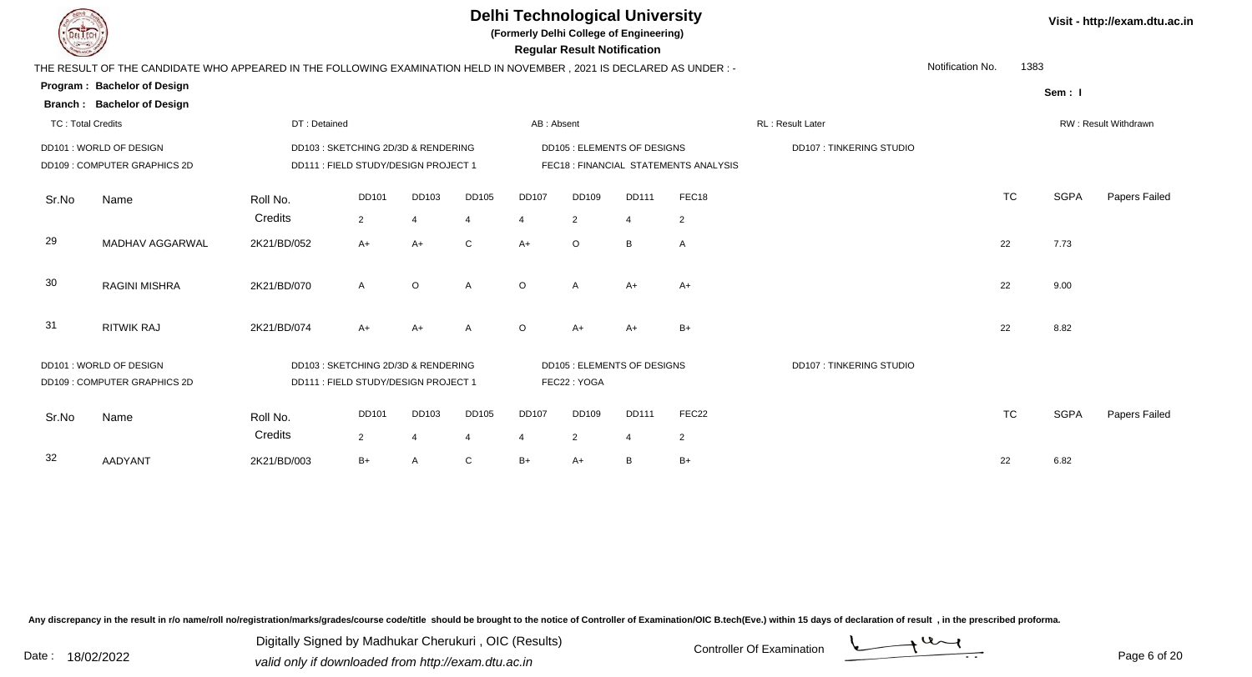**(Formerly Delhi College of Engineering)**

 **Regular Result Notification**

| $\sim$                   |                                                                                                                        |                     |                                                                             |            |                         |                   | ncyular ncədil nolllivation                      |                                |                                      |                                |                  |           |             |                      |
|--------------------------|------------------------------------------------------------------------------------------------------------------------|---------------------|-----------------------------------------------------------------------------|------------|-------------------------|-------------------|--------------------------------------------------|--------------------------------|--------------------------------------|--------------------------------|------------------|-----------|-------------|----------------------|
|                          | THE RESULT OF THE CANDIDATE WHO APPEARED IN THE FOLLOWING EXAMINATION HELD IN NOVEMBER , 2021 IS DECLARED AS UNDER : - |                     |                                                                             |            |                         |                   |                                                  |                                |                                      |                                | Notification No. | 1383      |             |                      |
|                          | Program: Bachelor of Design<br><b>Branch: Bachelor of Design</b>                                                       |                     |                                                                             |            |                         |                   |                                                  |                                |                                      |                                |                  |           | Sem: I      |                      |
| <b>TC: Total Credits</b> |                                                                                                                        | DT: Detained        |                                                                             |            |                         | AB: Absent        |                                                  |                                |                                      | <b>RL: Result Later</b>        |                  |           |             | RW: Result Withdrawn |
|                          | DD101: WORLD OF DESIGN<br>DD109: COMPUTER GRAPHICS 2D                                                                  |                     | DD103 : SKETCHING 2D/3D & RENDERING<br>DD111 : FIELD STUDY/DESIGN PROJECT 1 |            |                         |                   | DD105 : ELEMENTS OF DESIGNS                      |                                | FEC18: FINANCIAL STATEMENTS ANALYSIS | <b>DD107: TINKERING STUDIO</b> |                  |           |             |                      |
| Sr.No                    | Name                                                                                                                   | Roll No.<br>Credits | DD101<br>$\overline{2}$                                                     | DD103<br>4 | DD105<br>4              | <b>DD107</b><br>4 | DD109<br>2                                       | <b>DD111</b><br>$\overline{4}$ | FEC18<br>2                           |                                |                  | <b>TC</b> | <b>SGPA</b> | Papers Failed        |
| 29                       | MADHAV AGGARWAL                                                                                                        | 2K21/BD/052         | $A+$                                                                        | $A+$       | $\mathsf{C}$            | $A+$              | $\circ$                                          | B                              | $\mathsf{A}$                         |                                |                  | 22        | 7.73        |                      |
| 30                       | <b>RAGINI MISHRA</b>                                                                                                   | 2K21/BD/070         | A                                                                           | $\circ$    | A                       | $\circ$           | A                                                | $A+$                           | $A+$                                 |                                |                  | 22        | 9.00        |                      |
| 31                       | <b>RITWIK RAJ</b>                                                                                                      | 2K21/BD/074         | $A+$                                                                        | $A+$       | A                       | $\Omega$          | $A+$                                             | $A+$                           | $B+$                                 |                                |                  | 22        | 8.82        |                      |
|                          | DD101: WORLD OF DESIGN<br>DD109: COMPUTER GRAPHICS 2D                                                                  |                     | DD103: SKETCHING 2D/3D & RENDERING<br>DD111 : FIELD STUDY/DESIGN PROJECT 1  |            |                         |                   | <b>DD105: ELEMENTS OF DESIGNS</b><br>FEC22: YOGA |                                |                                      | <b>DD107: TINKERING STUDIO</b> |                  |           |             |                      |
| Sr.No                    | Name                                                                                                                   | Roll No.<br>Credits | <b>DD101</b><br>$\overline{2}$                                              | DD103<br>4 | DD105<br>$\overline{4}$ | <b>DD107</b>      | <b>DD109</b><br>2                                | <b>DD111</b><br>$\overline{4}$ | FEC <sub>22</sub><br>$\overline{2}$  |                                |                  | <b>TC</b> | <b>SGPA</b> | Papers Failed        |
| 32                       | <b>AADYANT</b>                                                                                                         | 2K21/BD/003         | $B+$                                                                        | A          | C                       | $B+$              | $A+$                                             | B                              | $B+$                                 |                                |                  | 22        | 6.82        |                      |

Any discrepancy in the result in r/o name/roll no/registration/marks/grades/course code/title should be brought to the notice of Controller of Examination/OIC B.tech(Eve.) within 15 days of declaration of result, in the pr

Date : 18/02/2022<br>
valid only if downloaded from http://exam.dtu.ac.in<br>
Date : 18/02/2022 Digitally Signed by Madhukar Cherukuri , OIC (Results)

**Visit - http://exam.dtu.ac.in**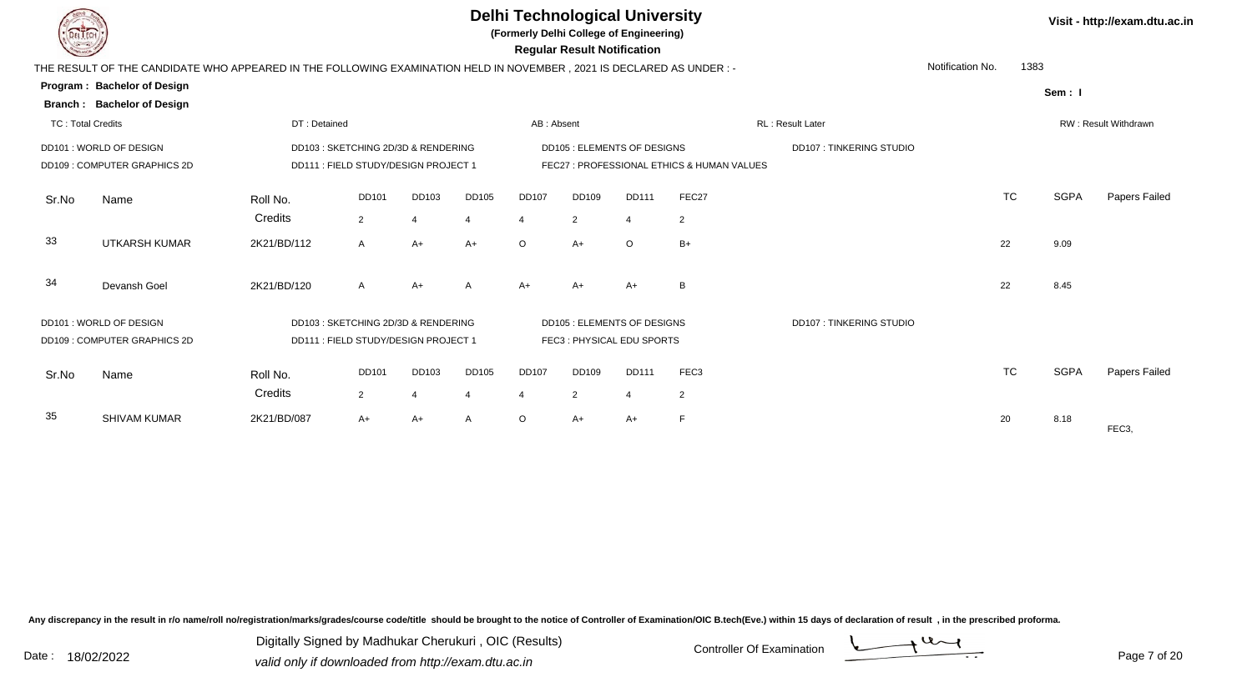

**(Formerly Delhi College of Engineering)**

 **Regular Result Notification**

| <b>Course of the United States</b> |                                                                                                                       |              |                                      |       |                |              | n <del>c</del> yular n <del>c</del> sult notification |         |                  |                                |                  |           |             |                      |
|------------------------------------|-----------------------------------------------------------------------------------------------------------------------|--------------|--------------------------------------|-------|----------------|--------------|-------------------------------------------------------|---------|------------------|--------------------------------|------------------|-----------|-------------|----------------------|
|                                    | THE RESULT OF THE CANDIDATE WHO APPEARED IN THE FOLLOWING EXAMINATION HELD IN NOVEMBER , 2021 IS DECLARED AS UNDER :- |              |                                      |       |                |              |                                                       |         |                  |                                | Notification No. | 1383      |             |                      |
|                                    | Program: Bachelor of Design                                                                                           |              |                                      |       |                |              |                                                       |         |                  |                                |                  |           | Sem: I      |                      |
|                                    | <b>Branch: Bachelor of Design</b>                                                                                     |              |                                      |       |                |              |                                                       |         |                  |                                |                  |           |             |                      |
| <b>TC: Total Credits</b>           |                                                                                                                       | DT: Detained |                                      |       |                | AB: Absent   |                                                       |         |                  | RL: Result Later               |                  |           |             | RW: Result Withdrawn |
|                                    | DD101: WORLD OF DESIGN                                                                                                |              | DD103 : SKETCHING 2D/3D & RENDERING  |       |                |              | <b>DD105 : ELEMENTS OF DESIGNS</b>                    |         |                  | <b>DD107: TINKERING STUDIO</b> |                  |           |             |                      |
|                                    | <b>DD109: COMPUTER GRAPHICS 2D</b><br>DD111 : FIELD STUDY/DESIGN PROJECT 1                                            |              |                                      |       |                |              | FEC27: PROFESSIONAL ETHICS & HUMAN VALUES             |         |                  |                                |                  |           |             |                      |
| Sr.No                              | Name                                                                                                                  | Roll No.     | <b>DD101</b>                         | DD103 | <b>DD105</b>   | <b>DD107</b> | DD109                                                 | DD111   | FEC27            |                                |                  | <b>TC</b> | <b>SGPA</b> | Papers Failed        |
|                                    |                                                                                                                       | Credits      | 2                                    |       | $\overline{4}$ | 4            | $\overline{2}$                                        |         | $\overline{2}$   |                                |                  |           |             |                      |
| 33                                 | <b>UTKARSH KUMAR</b>                                                                                                  | 2K21/BD/112  | A                                    | $A+$  | $A+$           | $\circ$      | $A+$                                                  | $\circ$ | $B+$             |                                | 22               |           | 9.09        |                      |
| 34                                 | Devansh Goel                                                                                                          | 2K21/BD/120  | $\mathsf{A}$                         | $A+$  | A              | $A+$         | $A+$                                                  | $A+$    | B                |                                | 22               |           | 8.45        |                      |
|                                    | DD101: WORLD OF DESIGN                                                                                                |              | DD103 : SKETCHING 2D/3D & RENDERING  |       |                |              | <b>DD105 : ELEMENTS OF DESIGNS</b>                    |         |                  | <b>DD107: TINKERING STUDIO</b> |                  |           |             |                      |
|                                    | DD109: COMPUTER GRAPHICS 2D                                                                                           |              | DD111 : FIELD STUDY/DESIGN PROJECT 1 |       |                |              | FEC3: PHYSICAL EDU SPORTS                             |         |                  |                                |                  |           |             |                      |
| Sr.No                              | Name                                                                                                                  | Roll No.     | <b>DD101</b>                         | DD103 | <b>DD105</b>   | <b>DD107</b> | <b>DD109</b>                                          | DD111   | FEC <sub>3</sub> |                                |                  | <b>TC</b> | <b>SGPA</b> | Papers Failed        |
|                                    |                                                                                                                       | Credits      | $\overline{2}$                       |       | -4             | 4            | $\overline{2}$                                        |         | 2                |                                |                  |           |             |                      |
| 35                                 | <b>SHIVAM KUMAR</b>                                                                                                   | 2K21/BD/087  | $A+$                                 | A+    | A              | $\circ$      | $A+$                                                  | A+      | F                |                                | 20               |           | 8.18        | FEC <sub>3</sub>     |
|                                    |                                                                                                                       |              |                                      |       |                |              |                                                       |         |                  |                                |                  |           |             |                      |

Any discrepancy in the result in r/o name/roll no/registration/marks/grades/course code/title should be brought to the notice of Controller of Examination/OIC B.tech(Eve.) within 15 days of declaration of result, in the pr

Digitally Signed by Madhukar Cherukuri , OIC (Results)

Page 7 of 20

**Visit - http://exam.dtu.ac.in**

Date : 18/02/2022<br>
valid only if downloaded from http://exam.dtu.ac.in<br>
Date : 18/02/2022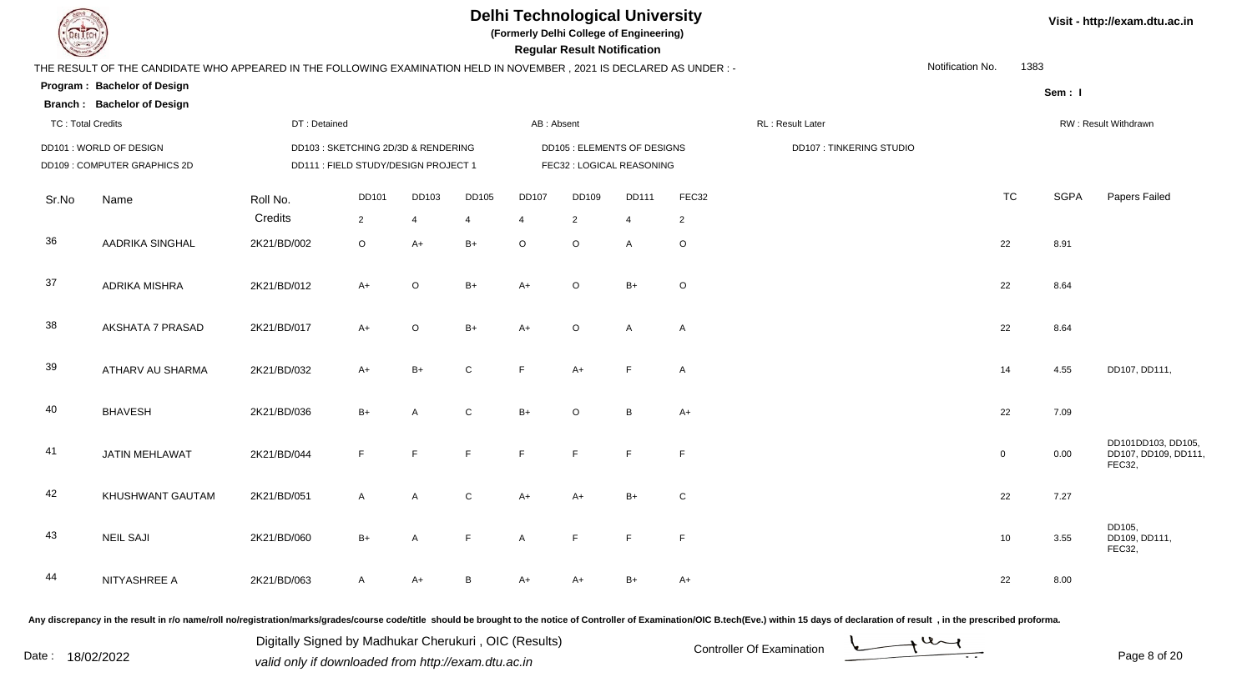

**(Formerly Delhi College of Engineering)**

**Regular Regular Results Notification** 

|  | Visit - http://exam.dtu.ac.in |  |
|--|-------------------------------|--|
|--|-------------------------------|--|

| <b>Consultor of Designation of the Consultant Property and South Danger Street, Danger Street, Danger Street, The Designation of the United Street, Danger Street, The United Street, The United Street, The United Street, The </b> |                                                                                                                      |              |                                      |              |              |                       | <b>Regular Result Notification</b> |                             |                |                                |                  |             |                                                      |
|--------------------------------------------------------------------------------------------------------------------------------------------------------------------------------------------------------------------------------------|----------------------------------------------------------------------------------------------------------------------|--------------|--------------------------------------|--------------|--------------|-----------------------|------------------------------------|-----------------------------|----------------|--------------------------------|------------------|-------------|------------------------------------------------------|
|                                                                                                                                                                                                                                      | THE RESULT OF THE CANDIDATE WHO APPEARED IN THE FOLLOWING EXAMINATION HELD IN NOVEMBER, 2021 IS DECLARED AS UNDER :- |              |                                      |              |              |                       |                                    |                             |                |                                | Notification No. | 1383        |                                                      |
|                                                                                                                                                                                                                                      | Program: Bachelor of Design                                                                                          |              |                                      |              |              |                       |                                    |                             |                |                                |                  | Sem: I      |                                                      |
|                                                                                                                                                                                                                                      | <b>Branch: Bachelor of Design</b>                                                                                    |              |                                      |              |              |                       |                                    |                             |                |                                |                  |             |                                                      |
| <b>TC: Total Credits</b>                                                                                                                                                                                                             |                                                                                                                      | DT: Detained |                                      |              |              | AB: Absent            |                                    |                             |                | RL: Result Later               |                  |             | RW: Result Withdrawn                                 |
|                                                                                                                                                                                                                                      | DD101 : WORLD OF DESIGN                                                                                              |              | DD103 : SKETCHING 2D/3D & RENDERING  |              |              |                       |                                    | DD105 : ELEMENTS OF DESIGNS |                | <b>DD107: TINKERING STUDIO</b> |                  |             |                                                      |
|                                                                                                                                                                                                                                      | DD109: COMPUTER GRAPHICS 2D                                                                                          |              | DD111 : FIELD STUDY/DESIGN PROJECT 1 |              |              |                       |                                    | FEC32 : LOGICAL REASONING   |                |                                |                  |             |                                                      |
| Sr.No                                                                                                                                                                                                                                | Name                                                                                                                 | Roll No.     | <b>DD101</b>                         | DD103        | DD105        | <b>DD107</b>          | DD109                              | <b>DD111</b>                | FEC32          |                                | <b>TC</b>        | <b>SGPA</b> | Papers Failed                                        |
|                                                                                                                                                                                                                                      |                                                                                                                      | Credits      | $\overline{2}$                       | 4            |              | $\boldsymbol{\Delta}$ | $\overline{2}$                     | $\overline{4}$              | $\overline{2}$ |                                |                  |             |                                                      |
| 36                                                                                                                                                                                                                                   | <b>AADRIKA SINGHAL</b>                                                                                               | 2K21/BD/002  | $\circ$                              | $A+$         | $B+$         | $\circ$               | $\circ$                            | $\mathsf{A}$                | $\circ$        |                                | 22               | 8.91        |                                                      |
| 37                                                                                                                                                                                                                                   | <b>ADRIKA MISHRA</b>                                                                                                 | 2K21/BD/012  | $A+$                                 | $\circ$      | $B+$         | $A+$                  | $\circ$                            | $B+$                        | $\circ$        |                                | 22               | 8.64        |                                                      |
| 38                                                                                                                                                                                                                                   | AKSHATA 7 PRASAD                                                                                                     | 2K21/BD/017  | $A+$                                 | $\circ$      | $B+$         | $A+$                  | $\circ$                            | $\mathsf{A}$                | $\mathsf{A}$   |                                | 22               | 8.64        |                                                      |
| 39                                                                                                                                                                                                                                   | ATHARV AU SHARMA                                                                                                     | 2K21/BD/032  | $A+$                                 | $B+$         | $\mathsf{C}$ | F                     | $A+$                               | E                           | A              |                                | 14               | 4.55        | DD107, DD111,                                        |
| 40                                                                                                                                                                                                                                   | <b>BHAVESH</b>                                                                                                       | 2K21/BD/036  | $B+$                                 | A            | ${\bf C}$    | $B+$                  | $\circ$                            | B                           | A+             |                                | 22               | 7.09        |                                                      |
| 41                                                                                                                                                                                                                                   | <b>JATIN MEHLAWAT</b>                                                                                                | 2K21/BD/044  | $\mathsf{F}$                         | $\mathsf{F}$ | E            | F                     | E                                  | E                           | E              |                                | $\mathsf 0$      | 0.00        | DD101DD103, DD105,<br>DD107, DD109, DD111,<br>FEC32, |
| 42                                                                                                                                                                                                                                   | KHUSHWANT GAUTAM                                                                                                     | 2K21/BD/051  | $\mathsf{A}$                         | $\mathsf{A}$ | $\mathsf C$  | $A+$                  | $A+$                               | $B+$                        | $\mathsf{C}$   |                                | 22               | 7.27        |                                                      |
| 43                                                                                                                                                                                                                                   | <b>NEIL SAJI</b>                                                                                                     | 2K21/BD/060  | $B+$                                 | A            | F            | A                     | F                                  | F                           | F              |                                | 10               | 3.55        | DD105,<br>DD109, DD111,<br>FEC32,                    |
| 44                                                                                                                                                                                                                                   | NITYASHREE A                                                                                                         | 2K21/BD/063  | $\mathsf{A}$                         | $A+$         | B            | $A+$                  | A+                                 | $B+$                        | A+             |                                | 22               | 8.00        |                                                      |

Any discrepancy in the result in r/o name/roll no/registration/marks/grades/course code/title should be brought to the notice of Controller of Examination/OIC B.tech(Eve.) within 15 days of declaration of result, in the pr

Digitally Signed by Madhukar Cherukuri, OIC (Results)<br>Date : 18/02/2022 *Controller Of Examination* Digitally Signed by Madhukar Cherukuri , OIC (Results)valid only if downloaded from http://exam.dtu.ac.in



Page 8 of 20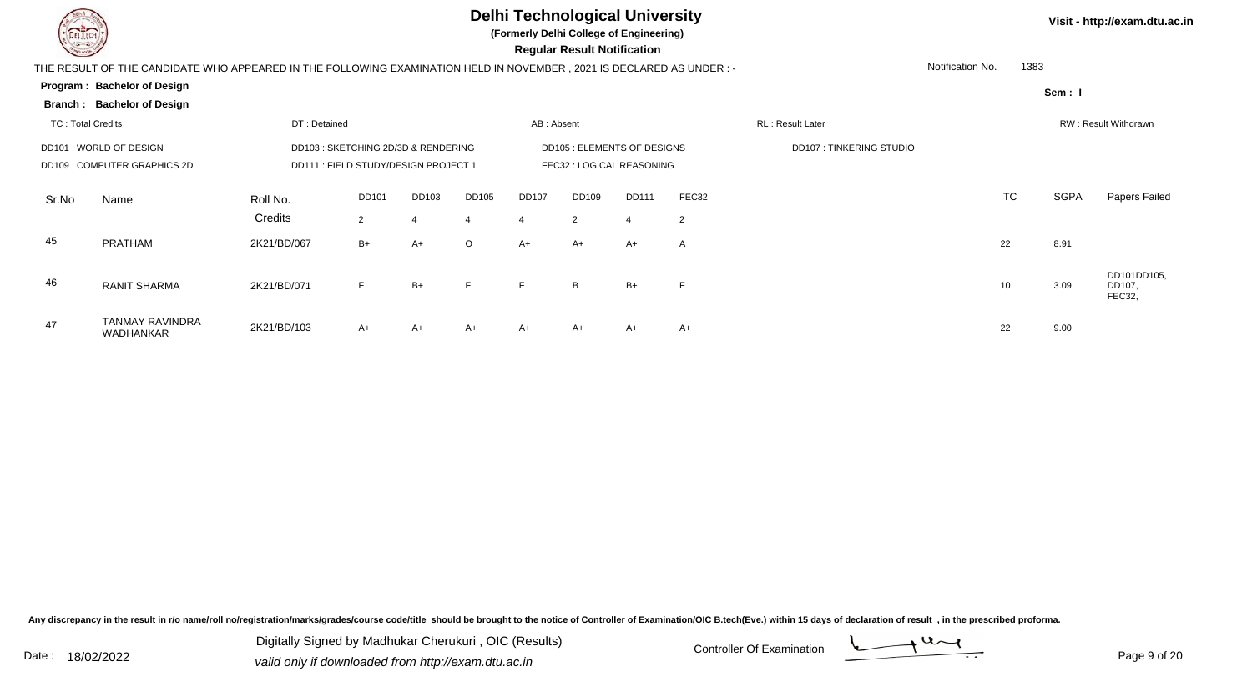

47

TANMAY RAVINDRA

WADHANKAR 2K21/BD/103

### **Delhi Technological University**

**(Formerly Delhi College of Engineering)**

| <b>Courses of</b>        |                                                                                                                      |              |                                      |       |              |            | <b>Regular Result Notification</b> |              |       |                                |                  |           |             |                                       |
|--------------------------|----------------------------------------------------------------------------------------------------------------------|--------------|--------------------------------------|-------|--------------|------------|------------------------------------|--------------|-------|--------------------------------|------------------|-----------|-------------|---------------------------------------|
|                          | THE RESULT OF THE CANDIDATE WHO APPEARED IN THE FOLLOWING EXAMINATION HELD IN NOVEMBER, 2021 IS DECLARED AS UNDER :- |              |                                      |       |              |            |                                    |              |       |                                | Notification No. | 1383      |             |                                       |
|                          | Program: Bachelor of Design                                                                                          |              |                                      |       |              |            |                                    |              |       |                                |                  |           | Sem: I      |                                       |
|                          | Branch: Bachelor of Design                                                                                           |              |                                      |       |              |            |                                    |              |       |                                |                  |           |             |                                       |
| <b>TC: Total Credits</b> |                                                                                                                      | DT: Detained |                                      |       |              | AB: Absent |                                    |              |       | RL: Result Later               |                  |           |             | <b>RW: Result Withdrawn</b>           |
|                          | DD101: WORLD OF DESIGN                                                                                               |              | DD103 : SKETCHING 2D/3D & RENDERING  |       |              |            | DD105 : ELEMENTS OF DESIGNS        |              |       | <b>DD107: TINKERING STUDIO</b> |                  |           |             |                                       |
|                          | DD109: COMPUTER GRAPHICS 2D                                                                                          |              | DD111 : FIELD STUDY/DESIGN PROJECT 1 |       |              |            | FEC32 : LOGICAL REASONING          |              |       |                                |                  |           |             |                                       |
| Sr.No                    | Name                                                                                                                 | Roll No.     | DD101                                | DD103 | <b>DD105</b> | DD107      | <b>DD109</b>                       | <b>DD111</b> | FEC32 |                                |                  | <b>TC</b> | <b>SGPA</b> | Papers Failed                         |
|                          |                                                                                                                      | Credits      | $\overline{2}$                       | 4     | 4            | 4          | 2                                  |              | 2     |                                |                  |           |             |                                       |
| 45                       | <b>PRATHAM</b>                                                                                                       | 2K21/BD/067  | $B+$                                 | A+    | $\circ$      | A+         | A+                                 | $A+$         | Α     |                                |                  | 22        | 8.91        |                                       |
| 46                       | <b>RANIT SHARMA</b>                                                                                                  | 2K21/BD/071  | F                                    | $B+$  | F            | F          | B                                  | $B+$         | F     |                                |                  | 10        | 3.09        | DD101DD105,<br>DD107,<br><b>FEC22</b> |

Any discrepancy in the result in r/o name/roll no/registration/marks/grades/course code/title should be brought to the notice of Controller of Examination/OIC B.tech(Eve.) within 15 days of declaration of result, in the pr

Date : 18/02/2022<br>
valid only if downloaded from http://exam.dtu.ac.in<br>
Date : 18/02/2022 Digitally Signed by Madhukar Cherukuri , OIC (Results)

A+ A+ A+ A+ A+ A+ A+ <sup>22</sup> 9.00



**Visit - http://exam.dtu.ac.in**

FEC32,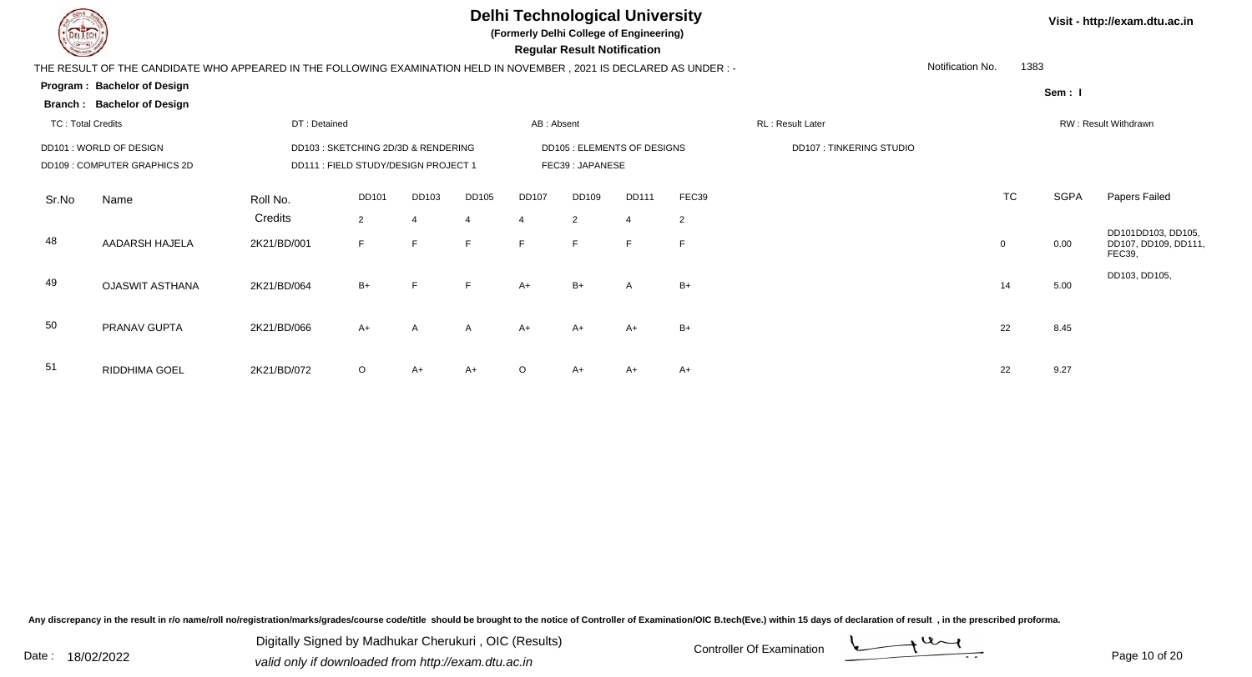

TC : Total Credits

**Branch : Bachelor of Design**

#### **Delhi Technological University**

**(Formerly Delhi College of Engineering)**

 **Regular Result Notification**

| THE RESULT OF THE CANDIDATE WHO APPEARED IN THE FOLLOWING EXAMINATION HELD IN NOVEMBER . 2021 IS DECLARED AS UNDER : - | Notification No. |
|------------------------------------------------------------------------------------------------------------------------|------------------|
| Program: Bachelor of Design                                                                                            |                  |

**Visit - http://exam.dtu.ac.in**

1383

|                                                       |       |       |              |                 |                             |       |                                |           | Sem: I                      |           |  |  |  |  |
|-------------------------------------------------------|-------|-------|--------------|-----------------|-----------------------------|-------|--------------------------------|-----------|-----------------------------|-----------|--|--|--|--|
| d                                                     |       |       | AB: Absent   |                 |                             |       | RL: Result Later               |           | <b>RW: Result Withdrawn</b> |           |  |  |  |  |
| TCHING 2D/3D & RENDERING<br>LD STUDY/DESIGN PROJECT 1 |       |       |              | FEC39: JAPANESE | DD105 : ELEMENTS OF DESIGNS |       | <b>DD107: TINKERING STUDIO</b> |           |                             |           |  |  |  |  |
| <b>DD101</b>                                          | DD103 | DD105 | <b>DD107</b> | DD109           | <b>DD111</b>                | FEC39 |                                | <b>TC</b> | <b>SGPA</b>                 | Papers Fa |  |  |  |  |

|       | DD101: WORLD OF DESIGN<br>DD109 : COMPUTER GRAPHICS 2D |             | DD103 : SKETCHING 2D/3D & RENDERING<br>DD111 : FIELD STUDY/DESIGN PROJECT 1 |       |              |         |                 | <b>DD105 : ELEMENTS OF DESIGNS</b> |                | <b>DD107: TINKERING STUDIO</b> |           |      |                                                            |
|-------|--------------------------------------------------------|-------------|-----------------------------------------------------------------------------|-------|--------------|---------|-----------------|------------------------------------|----------------|--------------------------------|-----------|------|------------------------------------------------------------|
|       |                                                        |             |                                                                             |       |              |         | FEC39: JAPANESE |                                    |                |                                |           |      |                                                            |
| Sr.No | Name                                                   | Roll No.    | <b>DD101</b>                                                                | DD103 | DD105        | DD107   | DD109           | DD111                              | FEC39          |                                | <b>TC</b> | SGPA | Papers Failed                                              |
|       |                                                        | Credits     | $\overline{2}$                                                              | 4     | 4            |         | $\overline{2}$  | $\overline{4}$                     | $\overline{2}$ |                                |           |      |                                                            |
| 48    | AADARSH HAJELA                                         | 2K21/BD/001 | F                                                                           | F.    | F.           | F.      | F               | F.                                 | E              |                                | $\Omega$  | 0.00 | DD101DD103, DD105,<br>DD107, DD109, DD111<br><b>FEC39,</b> |
| 49    | <b>OJASWIT ASTHANA</b>                                 | 2K21/BD/064 | $B+$                                                                        | E.    | F.           | $A+$    | $B+$            | $\mathsf{A}$                       | $B+$           |                                | 14        | 5.00 | DD103, DD105,                                              |
| 50    | PRANAV GUPTA                                           | 2K21/BD/066 | $A+$                                                                        | A     | $\mathsf{A}$ | $A+$    | $A+$            | $A+$                               | $B+$           |                                | 22        | 8.45 |                                                            |
| 51    | RIDDHIMA GOEL                                          | 2K21/BD/072 | $\circ$                                                                     | A+    | $A+$         | $\circ$ | $A+$            | A+                                 | $A+$           |                                | 22        | 9.27 |                                                            |

Any discrepancy in the result in r/o name/roll no/registration/marks/grades/course code/title should be brought to the notice of Controller of Examination/OIC B.tech(Eve.) within 15 days of declaration of result, in the pr

Date : 18/02/2022 Valid only if downloaded from http://exam.dtu.ac.in<br>
Date : 18/02/2022 valid only if downloaded from http://exam.dtu.ac.in Digitally Signed by Madhukar Cherukuri , OIC (Results)

DT : Detained

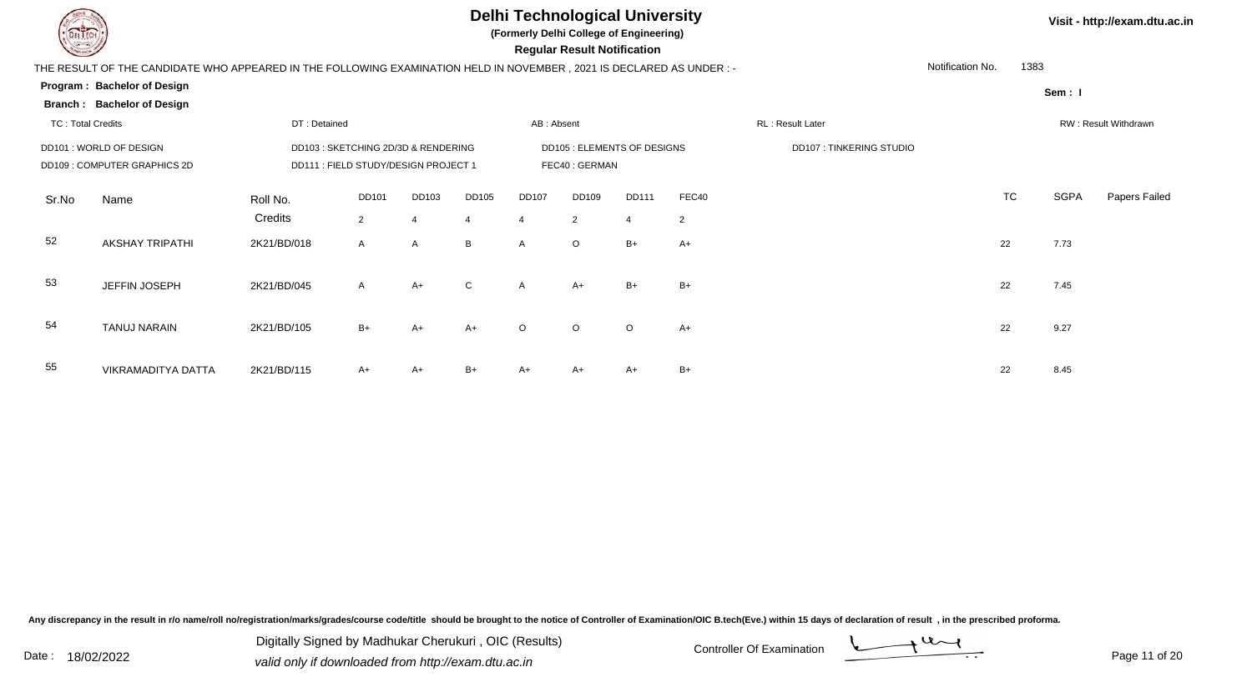

**(Formerly Delhi College of Engineering)**

 **Regular Result Notification**

|                                   | THE RESULT OF THE CANDIDATE WHO APPEARED IN THE FOLLOWING EXAMINATION HELD IN NOVEMBER, 2021 IS DECLARED AS UNDER: - |                             |                          | Notification No. | 1383                  |
|-----------------------------------|----------------------------------------------------------------------------------------------------------------------|-----------------------------|--------------------------|------------------|-----------------------|
| Program: Bachelor of Design       |                                                                                                                      |                             |                          |                  |                       |
| <b>Branch: Bachelor of Design</b> |                                                                                                                      |                             |                          |                  | Sem: I                |
| TC: Total Credits                 | DT: Detained                                                                                                         | AB: Absent                  | RL : Result Later        |                  | RW : Result Withdrawr |
| DD101: WORLD OF DESIGN            | DD103 : SKETCHING 2D/3D & RENDERING                                                                                  | DD105 : ELEMENTS OF DESIGNS | DD107 : TINKERING STUDIO |                  |                       |
| DD109 : COMPUTER GRAPHICS 2D      | DD111 : FIELD STUDY/DESIGN PROJECT 1                                                                                 | FEC40 : GERMAN              |                          |                  |                       |

| TC<br>SGPA<br>FEC40<br>DD105<br>DD109<br>DD101<br>DD103<br><b>DD107</b><br>DD111<br>Sr.No<br>Roll No.<br>Name<br>Credits<br>$\overline{2}$<br>$\overline{2}$<br>$\overline{2}$<br>4<br>$\overline{4}$<br>4<br>4<br>52<br><b>AKSHAY TRIPATHI</b><br>2K21/BD/018<br>$\circ$<br>$B+$<br>22<br>7.73<br>B<br>$A+$<br>A<br>$\mathsf{A}$<br>A<br>53<br>JEFFIN JOSEPH<br>2K21/BD/045<br>$B+$<br>$\mathsf{C}$<br>$B+$<br>$A+$<br>7.45<br>$A+$<br>22<br>A<br>$\overline{A}$<br>54 |    |                     |             |      |      |      |         |         |         |      |  |    |      |               |
|-------------------------------------------------------------------------------------------------------------------------------------------------------------------------------------------------------------------------------------------------------------------------------------------------------------------------------------------------------------------------------------------------------------------------------------------------------------------------|----|---------------------|-------------|------|------|------|---------|---------|---------|------|--|----|------|---------------|
|                                                                                                                                                                                                                                                                                                                                                                                                                                                                         |    |                     |             |      |      |      |         |         |         |      |  |    |      | Papers Failed |
|                                                                                                                                                                                                                                                                                                                                                                                                                                                                         |    |                     |             |      |      |      |         |         |         |      |  |    |      |               |
|                                                                                                                                                                                                                                                                                                                                                                                                                                                                         |    |                     |             |      |      |      |         |         |         |      |  |    |      |               |
|                                                                                                                                                                                                                                                                                                                                                                                                                                                                         |    |                     |             |      |      |      |         |         |         |      |  |    |      |               |
|                                                                                                                                                                                                                                                                                                                                                                                                                                                                         |    |                     |             |      |      |      |         |         |         |      |  |    |      |               |
|                                                                                                                                                                                                                                                                                                                                                                                                                                                                         |    | <b>TANUJ NARAIN</b> | 2K21/BD/105 | $B+$ | $A+$ | $A+$ | $\circ$ | $\circ$ | $\circ$ | $A+$ |  | 22 | 9.27 |               |
|                                                                                                                                                                                                                                                                                                                                                                                                                                                                         | 55 | VIKRAMADITYA DATTA  | 2K21/BD/115 | $A+$ | $A+$ | $B+$ | A+      | A+      | $A+$    | $B+$ |  | 22 | 8.45 |               |

Any discrepancy in the result in r/o name/roll no/registration/marks/grades/course code/title should be brought to the notice of Controller of Examination/OIC B.tech(Eve.) within 15 days of declaration of result, in the pr

Digitally Signed by Madhukar Cherukuri, OIC (Results)<br>Date : 18/02/2022 and the fact only if downloaded from http://ovem.dtu.es.in Digitally Signed by Madhukar Cherukuri , OIC (Results)valid only if downloaded from http://exam.dtu.ac.in

**Visit - http://exam.dtu.ac.in**

Page 11 of 20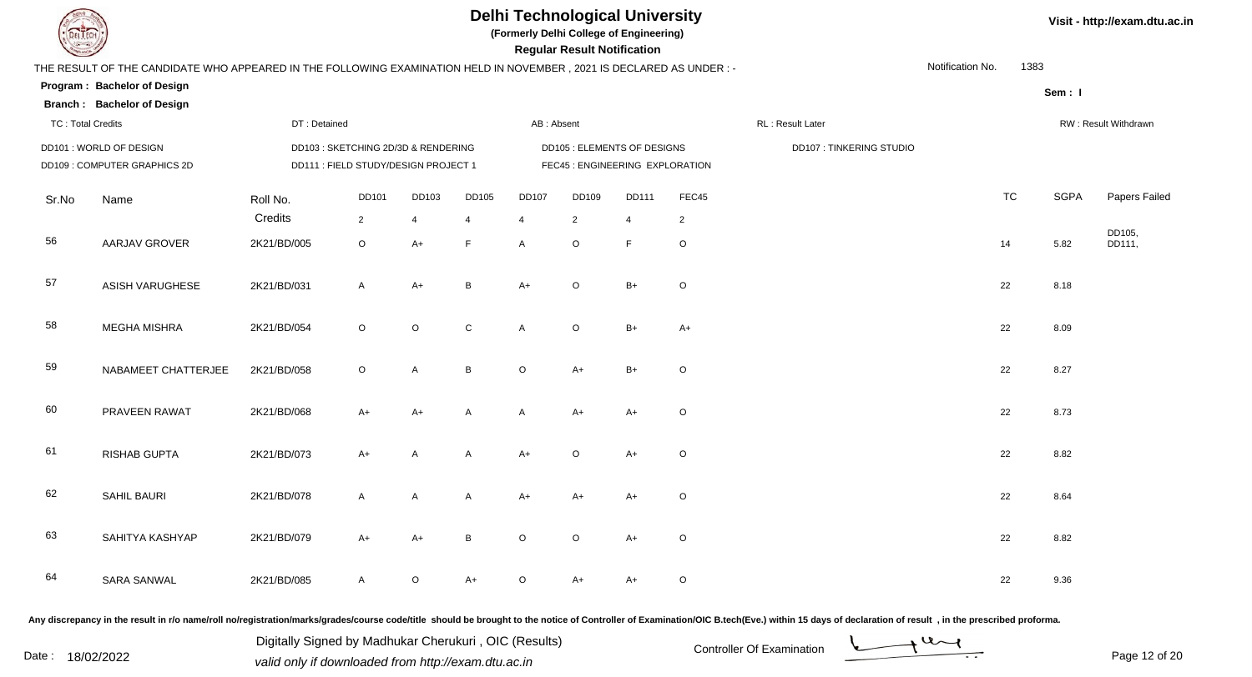

**(Formerly Delhi College of Engineering)**

 **Regular Result Notification**

#### **Visit - http://exam.dtu.ac.in**

| $\overline{\phantom{0}}$ |                                                                                                                     |              |                                      |                |                 |                | nogaia nobait notinoation       |                |                |                                |                  |           |             |                      |
|--------------------------|---------------------------------------------------------------------------------------------------------------------|--------------|--------------------------------------|----------------|-----------------|----------------|---------------------------------|----------------|----------------|--------------------------------|------------------|-----------|-------------|----------------------|
|                          | THE RESULT OF THE CANDIDATE WHO APPEARED IN THE FOLLOWING EXAMINATION HELD IN NOVEMBER, 2021 IS DECLARED AS UNDER:- |              |                                      |                |                 |                |                                 |                |                |                                | Notification No. | 1383      |             |                      |
|                          | Program: Bachelor of Design                                                                                         |              |                                      |                |                 |                |                                 |                |                |                                |                  |           | Sem: I      |                      |
|                          | <b>Branch: Bachelor of Design</b>                                                                                   |              |                                      |                |                 |                |                                 |                |                |                                |                  |           |             |                      |
| <b>TC: Total Credits</b> |                                                                                                                     | DT: Detained |                                      |                |                 | AB: Absent     |                                 |                |                | RL: Result Later               |                  |           |             | RW: Result Withdrawn |
|                          | DD101 : WORLD OF DESIGN                                                                                             |              | DD103 : SKETCHING 2D/3D & RENDERING  |                |                 |                | DD105 : ELEMENTS OF DESIGNS     |                |                | <b>DD107: TINKERING STUDIO</b> |                  |           |             |                      |
|                          | DD109: COMPUTER GRAPHICS 2D                                                                                         |              | DD111 : FIELD STUDY/DESIGN PROJECT 1 |                |                 |                | FEC45 : ENGINEERING EXPLORATION |                |                |                                |                  |           |             |                      |
|                          |                                                                                                                     |              |                                      |                |                 |                |                                 |                |                |                                |                  |           |             |                      |
| Sr.No                    | Name                                                                                                                | Roll No.     | <b>DD101</b>                         | DD103          | DD105           | DD107          | DD109                           | <b>DD111</b>   | FEC45          |                                |                  | <b>TC</b> | <b>SGPA</b> | Papers Failed        |
|                          |                                                                                                                     | Credits      | $\overline{2}$                       | $\overline{4}$ | $\overline{4}$  | $\overline{4}$ | $\overline{2}$                  | $\overline{4}$ | $\overline{2}$ |                                |                  |           |             |                      |
| 56                       | <b>AARJAV GROVER</b>                                                                                                | 2K21/BD/005  | $\mathsf O$                          | $A+$           | F               | A              | $\circ$                         | F              | $\mathsf O$    |                                |                  | 14        | 5.82        | DD105,<br>DD111,     |
|                          |                                                                                                                     |              |                                      |                |                 |                |                                 |                |                |                                |                  |           |             |                      |
| 57                       | ASISH VARUGHESE                                                                                                     | 2K21/BD/031  | A                                    | $A+$           | $\, {\bf B} \,$ | $A+$           | $\mathsf O$                     | $B+$           | $\mathsf O$    |                                |                  | 22        | 8.18        |                      |
|                          |                                                                                                                     |              |                                      |                |                 |                |                                 |                |                |                                |                  |           |             |                      |
| 58                       | <b>MEGHA MISHRA</b>                                                                                                 | 2K21/BD/054  | $\circ$                              | $\circ$        | $\mathbf C$     |                | $\circ$                         | $B+$           |                |                                |                  | 22        | 8.09        |                      |
|                          |                                                                                                                     |              |                                      |                |                 | A              |                                 |                | $A+$           |                                |                  |           |             |                      |
| 59                       |                                                                                                                     |              |                                      |                |                 |                |                                 |                |                |                                |                  |           |             |                      |
|                          | NABAMEET CHATTERJEE                                                                                                 | 2K21/BD/058  | $\mathsf O$                          | A              | $\, {\bf B} \,$ | $\circ$        | $A+$                            | $B+$           | $\circ$        |                                |                  | 22        | 8.27        |                      |
|                          |                                                                                                                     |              |                                      |                |                 |                |                                 |                |                |                                |                  |           |             |                      |
| 60                       | PRAVEEN RAWAT                                                                                                       | 2K21/BD/068  | $A+$                                 | $A+$           | A               | A              | $A+$                            | $A+$           | $\circ$        |                                |                  | 22        | 8.73        |                      |
|                          |                                                                                                                     |              |                                      |                |                 |                |                                 |                |                |                                |                  |           |             |                      |
| 61                       | RISHAB GUPTA                                                                                                        | 2K21/BD/073  | $A+$                                 | A              | $\mathsf{A}$    | $A+$           | $\circ$                         | $A+$           | $\circ$        |                                |                  | 22        | 8.82        |                      |
|                          |                                                                                                                     |              |                                      |                |                 |                |                                 |                |                |                                |                  |           |             |                      |
| 62                       | SAHIL BAURI                                                                                                         | 2K21/BD/078  | A                                    | A              | A               | $A+$           | $A+$                            | $A+$           | $\circ$        |                                |                  | 22        | 8.64        |                      |
|                          |                                                                                                                     |              |                                      |                |                 |                |                                 |                |                |                                |                  |           |             |                      |
| 63                       | SAHITYA KASHYAP                                                                                                     | 2K21/BD/079  | $A+$                                 | $A+$           | $\mathsf B$     | $\circ$        | $\circ$                         | $A+$           | $\circ$        |                                |                  | 22        | 8.82        |                      |
|                          |                                                                                                                     |              |                                      |                |                 |                |                                 |                |                |                                |                  |           |             |                      |
| 64                       | <b>SARA SANWAL</b>                                                                                                  | 2K21/BD/085  | A                                    | O              | $A+$            | $\circ$        | A+                              | $A+$           | $\circ$        |                                |                  | 22        | 9.36        |                      |
|                          |                                                                                                                     |              |                                      |                |                 |                |                                 |                |                |                                |                  |           |             |                      |
|                          |                                                                                                                     |              |                                      |                |                 |                |                                 |                |                |                                |                  |           |             |                      |

Any discrepancy in the result in r/o name/roll no/registration/marks/grades/course code/title should be brought to the notice of Controller of Examination/OIC B.tech(Eve.) within 15 days of declaration of result, in the pr

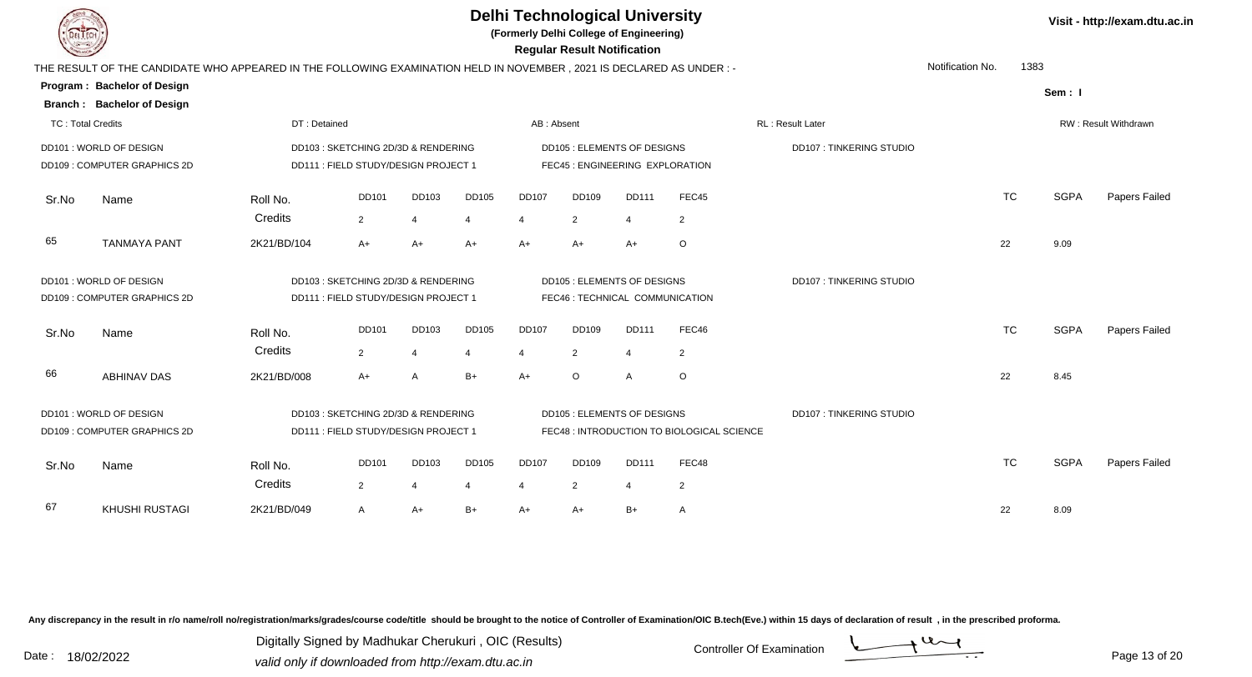|                          |                                                                                                                     |                     |                                                                            |                                   |            | <b>Delhi Technological University</b><br>(Formerly Delhi College of Engineering) | <b>Regular Result Notification</b>                                    |                                |                                            |                                |                  |           |             | Visit - http://exam.dtu.ac.in |
|--------------------------|---------------------------------------------------------------------------------------------------------------------|---------------------|----------------------------------------------------------------------------|-----------------------------------|------------|----------------------------------------------------------------------------------|-----------------------------------------------------------------------|--------------------------------|--------------------------------------------|--------------------------------|------------------|-----------|-------------|-------------------------------|
|                          | THE RESULT OF THE CANDIDATE WHO APPEARED IN THE FOLLOWING EXAMINATION HELD IN NOVEMBER, 2021 IS DECLARED AS UNDER:- |                     |                                                                            |                                   |            |                                                                                  |                                                                       |                                |                                            |                                | Notification No. | 1383      |             |                               |
|                          | Program: Bachelor of Design<br><b>Branch: Bachelor of Design</b>                                                    |                     |                                                                            |                                   |            |                                                                                  |                                                                       |                                |                                            |                                |                  |           | Sem: I      |                               |
| <b>TC: Total Credits</b> |                                                                                                                     | DT: Detained        |                                                                            |                                   |            | AB: Absent                                                                       |                                                                       |                                |                                            | <b>RL: Result Later</b>        |                  |           |             | RW: Result Withdrawn          |
|                          | DD101 : WORLD OF DESIGN<br>DD109: COMPUTER GRAPHICS 2D                                                              |                     | DD103: SKETCHING 2D/3D & RENDERING<br>DD111 : FIELD STUDY/DESIGN PROJECT 1 |                                   |            |                                                                                  | <b>DD105: ELEMENTS OF DESIGNS</b><br>FEC45 : ENGINEERING EXPLORATION  |                                |                                            | <b>DD107: TINKERING STUDIO</b> |                  |           |             |                               |
| Sr.No                    | Name                                                                                                                | Roll No.<br>Credits | DD101<br>$\overline{2}$                                                    | DD103<br>$\overline{4}$           | DD105<br>4 | <b>DD107</b><br>4                                                                | DD109<br>2                                                            | <b>DD111</b><br>$\overline{4}$ | FEC45<br>2                                 |                                |                  | <b>TC</b> | <b>SGPA</b> | Papers Failed                 |
| 65                       | <b>TANMAYA PANT</b>                                                                                                 | 2K21/BD/104         | $A+$                                                                       | $A+$                              | $A+$       | $A+$                                                                             | $A+$                                                                  | $A+$                           | $\circ$                                    |                                | 22               |           | 9.09        |                               |
|                          | DD101 : WORLD OF DESIGN<br>DD109: COMPUTER GRAPHICS 2D                                                              |                     | DD103: SKETCHING 2D/3D & RENDERING<br>DD111 : FIELD STUDY/DESIGN PROJECT 1 |                                   |            |                                                                                  | <b>DD105 : ELEMENTS OF DESIGNS</b><br>FEC46 : TECHNICAL COMMUNICATION |                                |                                            | <b>DD107: TINKERING STUDIO</b> |                  |           |             |                               |
| Sr.No                    | Name                                                                                                                | Roll No.<br>Credits | DD101<br>$\overline{2}$                                                    | DD103<br>$\overline{\mathcal{A}}$ | DD105      | <b>DD107</b><br>$\overline{4}$                                                   | DD109<br>2                                                            | <b>DD111</b><br>4              | FEC46<br>$\overline{2}$                    |                                |                  | <b>TC</b> | <b>SGPA</b> | Papers Failed                 |
| 66                       | ABHINAV DAS                                                                                                         | 2K21/BD/008         | $A+$                                                                       | A                                 | B+         | $A+$                                                                             | $\circ$                                                               | A                              | $\circ$                                    |                                | 22               |           | 8.45        |                               |
|                          | DD101 : WORLD OF DESIGN<br>DD109: COMPUTER GRAPHICS 2D                                                              |                     | DD103: SKETCHING 2D/3D & RENDERING<br>DD111 : FIELD STUDY/DESIGN PROJECT 1 |                                   |            |                                                                                  | <b>DD105 : ELEMENTS OF DESIGNS</b>                                    |                                | FEC48 : INTRODUCTION TO BIOLOGICAL SCIENCE | <b>DD107: TINKERING STUDIO</b> |                  |           |             |                               |
| Sr.No                    | Name                                                                                                                | Roll No.<br>Credits | <b>DD101</b><br>$\overline{2}$                                             | DD103<br>$\overline{4}$           | DD105<br>4 | <b>DD107</b><br>$\overline{4}$                                                   | <b>DD109</b><br>2                                                     | <b>DD111</b><br>4              | FEC48<br>2                                 |                                |                  | <b>TC</b> | <b>SGPA</b> | Papers Failed                 |
| 67                       | <b>KHUSHI RUSTAGI</b>                                                                                               | 2K21/BD/049         | A                                                                          | $A+$                              | B+         | A+                                                                               | A+                                                                    | $B+$                           | A                                          |                                | 22               |           | 8.09        |                               |

Any discrepancy in the result in r/o name/roll no/registration/marks/grades/course code/title should be brought to the notice of Controller of Examination/OIC B.tech(Eve.) within 15 days of declaration of result, in the pr

Digitally Signed by Madhukar Cherukuri, OIC (Results)<br>Date : 18/02/2022 valid only if downloaded from http://oxam.dtu.ac.in Digitally Signed by Madhukar Cherukuri , OIC (Results)valid only if downloaded from http://exam.dtu.ac.in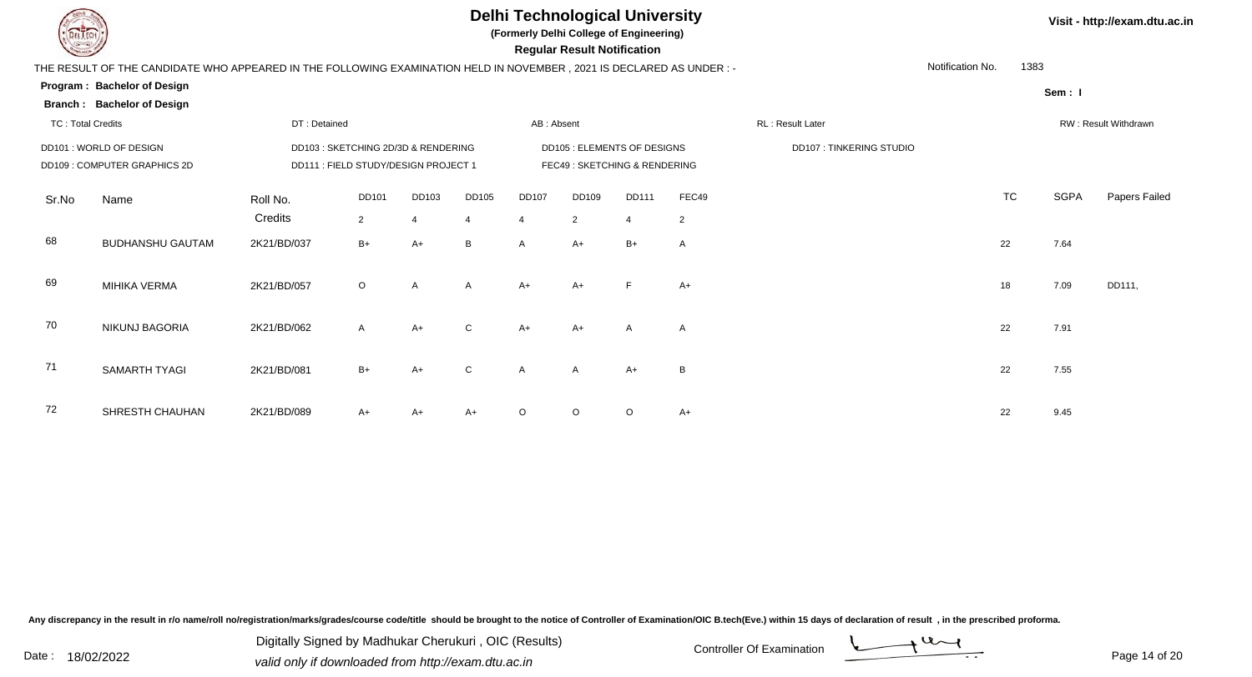

**Branch : Bachelor of Design**

# **Delhi Technological University**

**(Formerly Delhi College of Engineering)**

 **Regular Result Notification**

| THE RESULT OF THE CANDIDATE WHO APPEARED IN THE FOLLOWING EXAMINATION HELD IN NOVEMBER . 2021 IS DECLARED AS UNDER : |  |
|----------------------------------------------------------------------------------------------------------------------|--|
| Bachelor of Design<br><b>Program:</b>                                                                                |  |

| ш<br>۰.<br>۰, |  |  |
|---------------|--|--|
|---------------|--|--|

1383

| TC : Total Credits |                                                         | DT: Detained        |                                                                             |                         |                         | AB: Absent |                                                                    |              |                         | RL: Result Later               |           |             | RW : Result Withdrawn |
|--------------------|---------------------------------------------------------|---------------------|-----------------------------------------------------------------------------|-------------------------|-------------------------|------------|--------------------------------------------------------------------|--------------|-------------------------|--------------------------------|-----------|-------------|-----------------------|
|                    | DD101 : WORLD OF DESIGN<br>DD109 : COMPUTER GRAPHICS 2D |                     | DD103 : SKETCHING 2D/3D & RENDERING<br>DD111 : FIELD STUDY/DESIGN PROJECT 1 |                         |                         |            | <b>DD105 : ELEMENTS OF DESIGNS</b><br>FEC49: SKETCHING & RENDERING |              |                         | <b>DD107: TINKERING STUDIO</b> |           |             |                       |
| Sr.No              | Name                                                    | Roll No.<br>Credits | DD101<br>2                                                                  | DD103<br>$\overline{4}$ | DD105<br>$\overline{4}$ | DD107<br>4 | DD109<br>2                                                         | DD111<br>4   | FEC49<br>$\overline{2}$ |                                | <b>TC</b> | <b>SGPA</b> | Papers Failed         |
| 68                 | <b>BUDHANSHU GAUTAM</b>                                 | 2K21/BD/037         | $B+$                                                                        | A+                      | B                       | A          | $A+$                                                               | $B+$         | $\mathsf{A}$            |                                | 22        | 7.64        |                       |
| 69                 | MIHIKA VERMA                                            | 2K21/BD/057         | $\circ$                                                                     | $\mathsf{A}$            | $\mathsf{A}$            | $A+$       | $A+$                                                               | E            | $A+$                    |                                | 18        | 7.09        | DD111,                |
| 70                 | NIKUNJ BAGORIA                                          | 2K21/BD/062         | $\mathsf{A}$                                                                | $A+$                    | C                       | $A+$       | $A+$                                                               | $\mathsf{A}$ | $\mathsf{A}$            |                                | 22        | 7.91        |                       |
| 71                 | SAMARTH TYAGI                                           | 2K21/BD/081         | $B+$                                                                        | $A+$                    | $\mathsf{C}$            | A          | $\mathsf{A}$                                                       | $A+$         | B                       |                                | 22        | 7.55        |                       |
| 72                 | SHRESTH CHAUHAN                                         | 2K21/BD/089         | $A+$                                                                        | $A+$                    | $A+$                    | $\circ$    | $\circ$                                                            | $\circ$      | $A+$                    |                                | 22        | 9.45        |                       |

Any discrepancy in the result in r/o name/roll no/registration/marks/grades/course code/title should be brought to the notice of Controller of Examination/OIC B.tech(Eve.) within 15 days of declaration of result, in the pr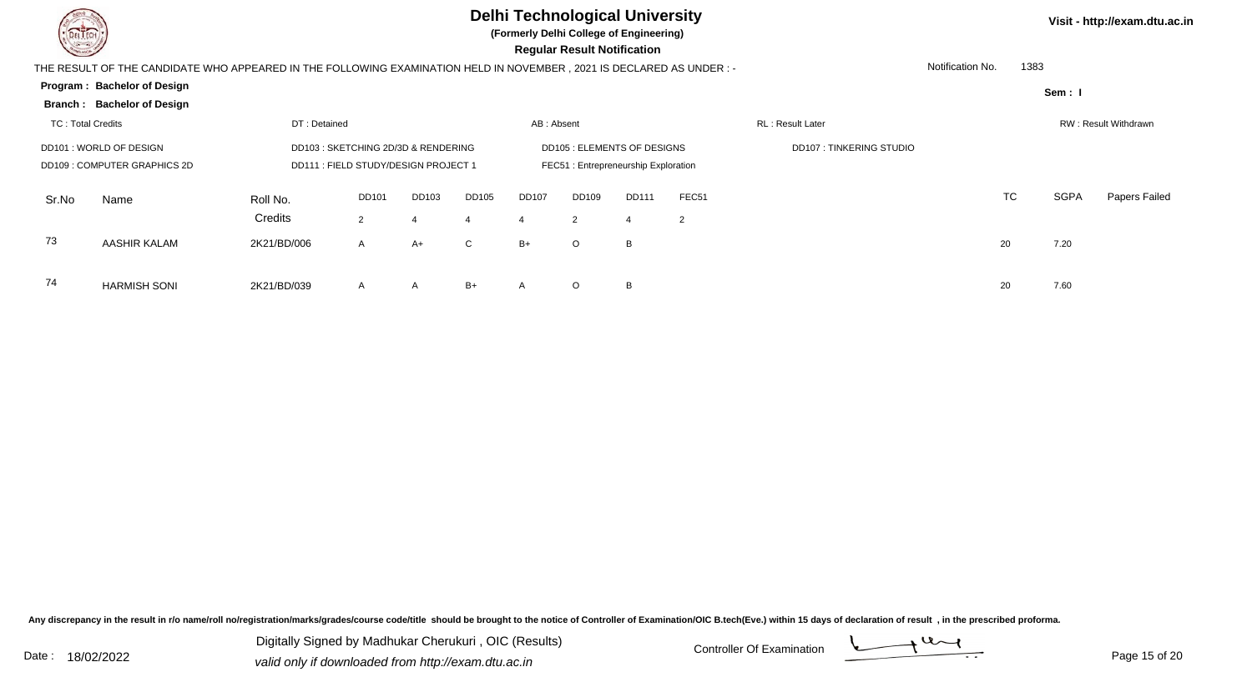

74

HARMISH SONI 2K21/BD/039

# **Delhi Technological University**

**(Formerly Delhi College of Engineering)**

 **Regular Result Notification**

| <b>Company</b>    |                                                                                                                      |              |                                      |       |       |              | Regular Result Notification         |              |                   |                                |                  |           |             |                      |
|-------------------|----------------------------------------------------------------------------------------------------------------------|--------------|--------------------------------------|-------|-------|--------------|-------------------------------------|--------------|-------------------|--------------------------------|------------------|-----------|-------------|----------------------|
|                   | THE RESULT OF THE CANDIDATE WHO APPEARED IN THE FOLLOWING EXAMINATION HELD IN NOVEMBER, 2021 IS DECLARED AS UNDER :- |              |                                      |       |       |              |                                     |              |                   |                                | Notification No. | 1383      |             |                      |
|                   | Program: Bachelor of Design                                                                                          |              |                                      |       |       |              |                                     |              |                   |                                |                  |           | Sem: I      |                      |
|                   | <b>Branch: Bachelor of Design</b>                                                                                    |              |                                      |       |       |              |                                     |              |                   |                                |                  |           |             |                      |
| TC: Total Credits |                                                                                                                      | DT: Detained |                                      |       |       | AB: Absent   |                                     |              |                   | RL: Result Later               |                  |           |             | RW: Result Withdrawn |
|                   | DD101: WORLD OF DESIGN                                                                                               |              | DD103 : SKETCHING 2D/3D & RENDERING  |       |       |              | <b>DD105 : ELEMENTS OF DESIGNS</b>  |              |                   | <b>DD107: TINKERING STUDIO</b> |                  |           |             |                      |
|                   | DD109: COMPUTER GRAPHICS 2D                                                                                          |              | DD111 : FIELD STUDY/DESIGN PROJECT 1 |       |       |              | FEC51: Entrepreneurship Exploration |              |                   |                                |                  |           |             |                      |
| Sr.No             | Name                                                                                                                 | Roll No.     | DD101                                | DD103 | DD105 | <b>DD107</b> | <b>DD109</b>                        | <b>DD111</b> | FEC <sub>51</sub> |                                |                  | <b>TC</b> | <b>SGPA</b> | <b>Papers Failed</b> |
|                   |                                                                                                                      | Credits      | $\overline{2}$                       |       | 4     | 4            | 2                                   |              | $\overline{2}$    |                                |                  |           |             |                      |
| 73                | AASHIR KALAM                                                                                                         | 2K21/BD/006  | $\mathsf{A}$                         | A+    | C     | $B+$         | $\circ$                             | B            |                   |                                | 20               |           | 7.20        |                      |
|                   |                                                                                                                      |              |                                      |       |       |              |                                     |              |                   |                                |                  |           |             |                      |
|                   |                                                                                                                      |              |                                      |       |       |              |                                     |              |                   |                                |                  |           |             |                      |

Any discrepancy in the result in r/o name/roll no/registration/marks/grades/course code/title should be brought to the notice of Controller of Examination/OIC B.tech(Eve.) within 15 days of declaration of result, in the pr

Date : 18/02/2022 Valid only if downloaded from http://exam.dtu.ac.in<br>
Date : 18/02/2022 valid only if downloaded from http://exam.dtu.ac.in Digitally Signed by Madhukar Cherukuri , OIC (Results)

<sup>A</sup> <sup>A</sup> B+ <sup>A</sup> <sup>O</sup>

 $\mathsf{O}$  B 20 7.60



**Visit - http://exam.dtu.ac.in**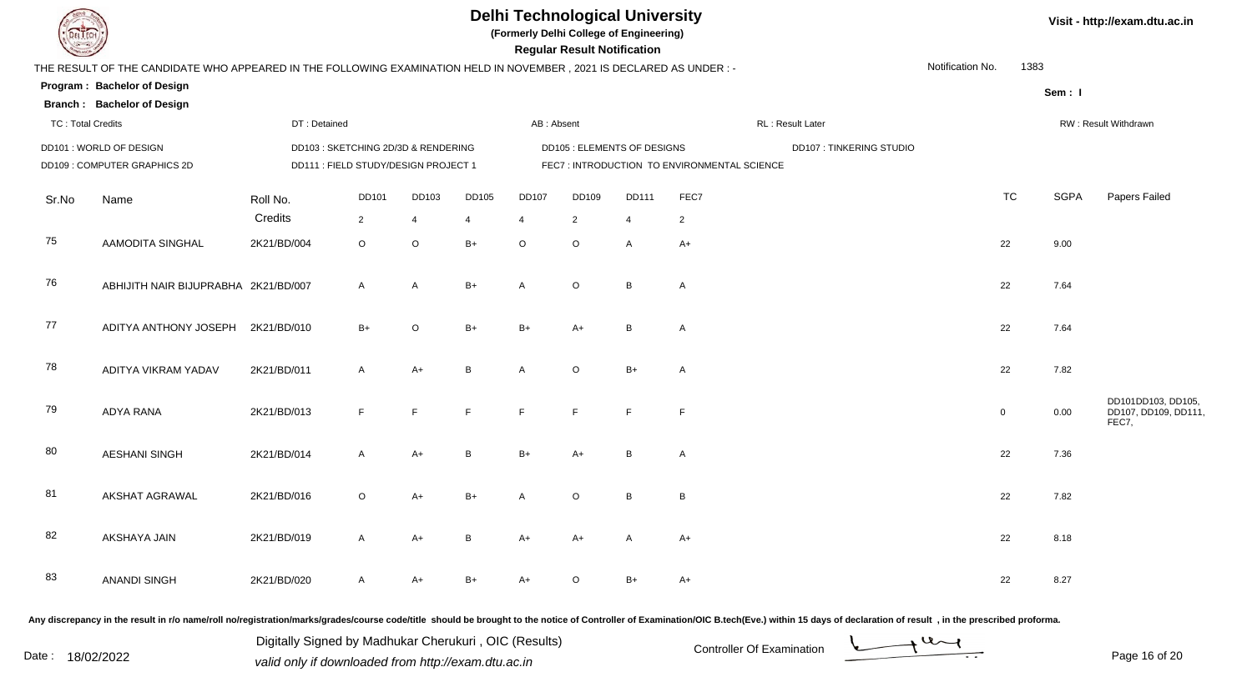

**(Formerly Delhi College of Engineering)**

| <b>County</b>                |                                                                                                                        |                                      |                                     |                |                |                                              | <b>Regular Result Notification</b> |                             |                |                  |                         |                  |                |                      |                                                    |  |
|------------------------------|------------------------------------------------------------------------------------------------------------------------|--------------------------------------|-------------------------------------|----------------|----------------|----------------------------------------------|------------------------------------|-----------------------------|----------------|------------------|-------------------------|------------------|----------------|----------------------|----------------------------------------------------|--|
|                              | THE RESULT OF THE CANDIDATE WHO APPEARED IN THE FOLLOWING EXAMINATION HELD IN NOVEMBER , 2021 IS DECLARED AS UNDER : - |                                      |                                     |                |                |                                              |                                    |                             |                |                  |                         | Notification No. | 1383           |                      |                                                    |  |
|                              | Program: Bachelor of Design                                                                                            |                                      |                                     |                |                |                                              |                                    |                             |                |                  |                         |                  |                | Sem: I               |                                                    |  |
|                              | <b>Branch: Bachelor of Design</b>                                                                                      |                                      |                                     |                |                |                                              |                                    |                             |                |                  |                         |                  |                |                      |                                                    |  |
| <b>TC: Total Credits</b>     |                                                                                                                        | DT: Detained                         |                                     |                |                | AB: Absent                                   |                                    |                             |                | RL: Result Later |                         |                  |                | RW: Result Withdrawn |                                                    |  |
|                              | DD101 : WORLD OF DESIGN                                                                                                |                                      | DD103 : SKETCHING 2D/3D & RENDERING |                |                |                                              |                                    | DD105 : ELEMENTS OF DESIGNS |                |                  | DD107: TINKERING STUDIO |                  |                |                      |                                                    |  |
| DD109 : COMPUTER GRAPHICS 2D |                                                                                                                        | DD111 : FIELD STUDY/DESIGN PROJECT 1 |                                     |                |                | FEC7 : INTRODUCTION TO ENVIRONMENTAL SCIENCE |                                    |                             |                |                  |                         |                  |                |                      |                                                    |  |
| Sr.No                        | Name                                                                                                                   | Roll No.                             | <b>DD101</b>                        | DD103          | <b>DD105</b>   | <b>DD107</b>                                 | DD109                              | <b>DD111</b>                | FEC7           |                  |                         |                  | <b>TC</b>      | <b>SGPA</b>          | Papers Failed                                      |  |
|                              |                                                                                                                        | Credits                              | $\overline{2}$                      | $\overline{4}$ | $\overline{4}$ | $\overline{4}$                               | $\overline{2}$                     | $\overline{4}$              | $\overline{2}$ |                  |                         |                  |                |                      |                                                    |  |
| 75                           | AAMODITA SINGHAL                                                                                                       | 2K21/BD/004                          | $\circ$                             | O              | $B+$           | $\circ$                                      | $\circ$                            | A                           | $A+$           |                  |                         |                  | 22             | 9.00                 |                                                    |  |
| 76                           | ABHIJITH NAIR BIJUPRABHA 2K21/BD/007                                                                                   |                                      | $\mathsf{A}$                        | $\mathsf{A}$   | $B+$           | $\mathsf{A}$                                 | $\circ$                            | B                           | $\mathsf{A}$   |                  |                         |                  | 22             | 7.64                 |                                                    |  |
| 77                           | ADITYA ANTHONY JOSEPH 2K21/BD/010                                                                                      |                                      | $B+$                                | $\circ$        | $B+$           | $B+$                                         | $A+$                               | B                           | $\mathsf{A}$   |                  |                         |                  | 22             | 7.64                 |                                                    |  |
| 78                           | ADITYA VIKRAM YADAV                                                                                                    | 2K21/BD/011                          | $\mathsf{A}$                        | $A+$           | B              | $\overline{A}$                               | $\mathsf O$                        | $B+$                        | A              |                  |                         |                  | 22             | 7.82                 |                                                    |  |
| 79                           | <b>ADYA RANA</b>                                                                                                       | 2K21/BD/013                          | F                                   | F              | F              | F                                            | F                                  | F                           | F              |                  |                         |                  | $\overline{0}$ | 0.00                 | DD101DD103, DD105,<br>DD107, DD109, DD111<br>FEC7, |  |
| 80                           | <b>AESHANI SINGH</b>                                                                                                   | 2K21/BD/014                          | A                                   | $A+$           | B              | $B+$                                         | $A+$                               | B                           | $\mathsf{A}$   |                  |                         |                  | 22             | 7.36                 |                                                    |  |
| 81                           | AKSHAT AGRAWAL                                                                                                         | 2K21/BD/016                          | $\circ$                             | $A+$           | $B+$           | $\mathsf{A}$                                 | $\circ$                            | B                           | $\, {\bf B}$   |                  |                         |                  | 22             | 7.82                 |                                                    |  |
| 82                           | AKSHAYA JAIN                                                                                                           | 2K21/BD/019                          | A                                   | $A+$           | B              | $A+$                                         | $A+$                               | A                           | $A+$           |                  |                         |                  | 22             | 8.18                 |                                                    |  |
| 83                           | <b>ANANDI SINGH</b>                                                                                                    | 2K21/BD/020                          | $\mathsf{A}$                        | $A+$           | $B+$           | $A+$                                         | $\circ$                            | $B+$                        | $A+$           |                  |                         |                  | 22             | 8.27                 |                                                    |  |
|                              |                                                                                                                        |                                      |                                     |                |                |                                              |                                    |                             |                |                  |                         |                  |                |                      |                                                    |  |

Any discrepancy in the result in r/o name/roll no/registration/marks/grades/course code/title should be brought to the notice of Controller of Examination/OIC B.tech(Eve.) within 15 days of declaration of result, in the pr

Date : 18/02/2022 Valid only if downloaded from http://exam.dtu.ac.in<br>
Date : 18/02/2022 valid only if downloaded from http://exam.dtu.ac.in Digitally Signed by Madhukar Cherukuri , OIC (Results)



**Visit - http://exam.dtu.ac.in**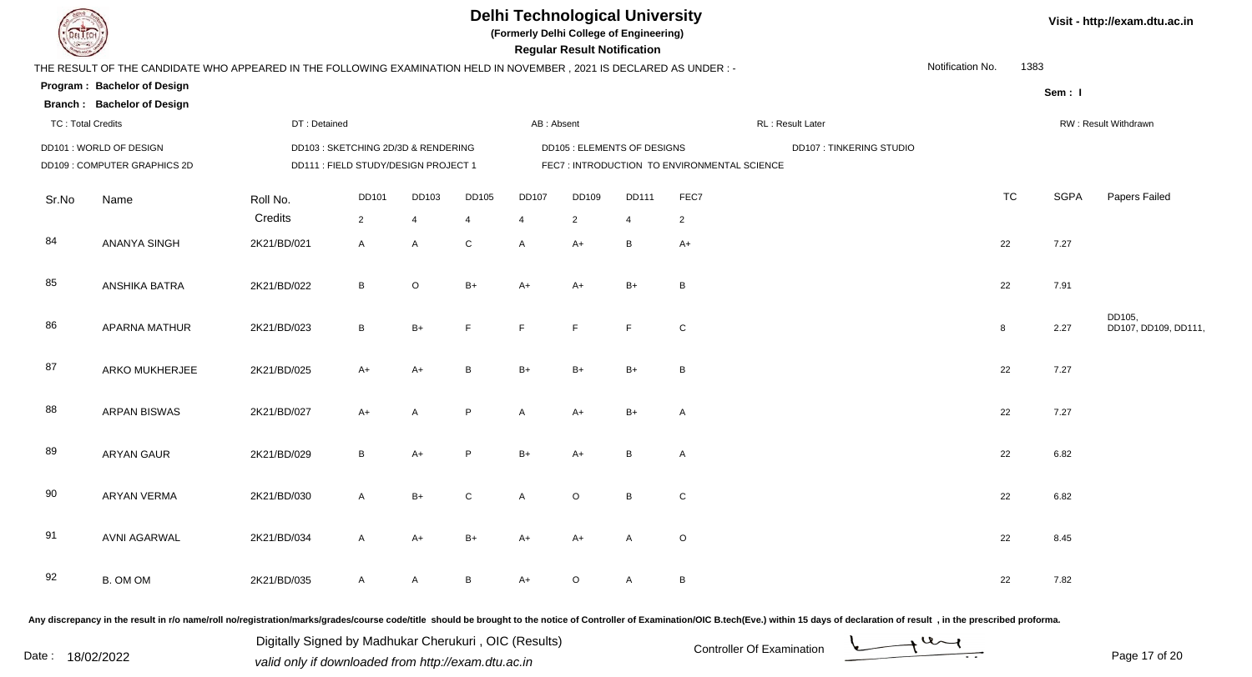

**(Formerly Delhi College of Engineering)**

| <b>Courses I</b>         |                                                                                                                      |                        |                                      |                     |                                |                             | <b>Regular Result Notification</b> |                     |                                             |                                |                  |                      |             |                                |
|--------------------------|----------------------------------------------------------------------------------------------------------------------|------------------------|--------------------------------------|---------------------|--------------------------------|-----------------------------|------------------------------------|---------------------|---------------------------------------------|--------------------------------|------------------|----------------------|-------------|--------------------------------|
|                          | THE RESULT OF THE CANDIDATE WHO APPEARED IN THE FOLLOWING EXAMINATION HELD IN NOVEMBER, 2021 IS DECLARED AS UNDER :- |                        |                                      |                     |                                |                             |                                    |                     |                                             |                                | Notification No. | 1383                 |             |                                |
|                          | Program: Bachelor of Design                                                                                          |                        |                                      |                     |                                |                             |                                    |                     |                                             |                                |                  |                      | Sem: I      |                                |
|                          | <b>Branch: Bachelor of Design</b>                                                                                    |                        |                                      |                     |                                |                             |                                    |                     |                                             |                                |                  |                      |             |                                |
| <b>TC: Total Credits</b> |                                                                                                                      | DT: Detained           |                                      |                     |                                | AB: Absent                  |                                    |                     |                                             | RL: Result Later               |                  | RW: Result Withdrawn |             |                                |
|                          | DD101: WORLD OF DESIGN                                                                                               |                        | DD103 : SKETCHING 2D/3D & RENDERING  |                     |                                | DD105 : ELEMENTS OF DESIGNS |                                    |                     |                                             | <b>DD107: TINKERING STUDIO</b> |                  |                      |             |                                |
|                          | DD109 : COMPUTER GRAPHICS 2D                                                                                         |                        | DD111 : FIELD STUDY/DESIGN PROJECT 1 |                     |                                |                             |                                    |                     | FEC7: INTRODUCTION TO ENVIRONMENTAL SCIENCE |                                |                  |                      |             |                                |
| Sr.No                    | Name                                                                                                                 | Roll No.               | <b>DD101</b>                         | DD103               | DD105                          | <b>DD107</b>                | DD109                              | <b>DD111</b>        | FEC7                                        |                                |                  | <b>TC</b>            | <b>SGPA</b> | Papers Failed                  |
| 84                       | <b>ANANYA SINGH</b>                                                                                                  | Credits<br>2K21/BD/021 | $\overline{2}$<br>Α                  | $\overline{4}$<br>A | $\overline{4}$<br>$\mathsf{C}$ | 4<br>A                      | $\overline{2}$<br>$A+$             | $\overline{4}$<br>B | $\overline{2}$<br>$A+$                      |                                |                  | 22                   | 7.27        |                                |
| 85                       | ANSHIKA BATRA                                                                                                        | 2K21/BD/022            | B                                    | $\mathsf O$         | $B+$                           | $A+$                        | $A+$                               | $B+$                | B                                           |                                |                  | 22                   | 7.91        |                                |
| 86                       | <b>APARNA MATHUR</b>                                                                                                 | 2K21/BD/023            | $\, {\bf B}$                         | $B+$                | E                              | F                           | F.                                 | F                   | ${\bf C}$                                   |                                |                  | $\boldsymbol{8}$     | 2.27        | DD105,<br>DD107, DD109, DD111, |
| 87                       | ARKO MUKHERJEE                                                                                                       | 2K21/BD/025            | $A+$                                 | $A+$                | B                              | $B+$                        | $B+$                               | $B+$                | B                                           |                                |                  | 22                   | 7.27        |                                |
| 88                       | <b>ARPAN BISWAS</b>                                                                                                  | 2K21/BD/027            | $A+$                                 | A                   | P                              | A                           | $A+$                               | $B+$                | A                                           |                                |                  | 22                   | 7.27        |                                |
| 89                       | <b>ARYAN GAUR</b>                                                                                                    | 2K21/BD/029            | B                                    | $A+$                | P                              | $B+$                        | $A+$                               | B                   | A                                           |                                |                  | 22                   | 6.82        |                                |
| 90                       | <b>ARYAN VERMA</b>                                                                                                   | 2K21/BD/030            | $\overline{A}$                       | $B+$                | $\mathsf C$                    | A                           | $\mathsf O$                        | $\overline{B}$      | ${\bf C}$                                   |                                |                  | 22                   | 6.82        |                                |
| 91                       | <b>AVNI AGARWAL</b>                                                                                                  | 2K21/BD/034            | $\overline{A}$                       | $A+$                | $B+$                           | $A+$                        | $A+$                               | $\mathsf{A}$        | $\mathsf O$                                 |                                |                  | 22                   | 8.45        |                                |
| 92                       | B. OM OM                                                                                                             | 2K21/BD/035            | A                                    | A                   | $\, {\bf B} \,$                | $A+$                        | O                                  | $\mathsf{A}$        | B                                           |                                |                  | 22                   | 7.82        |                                |
|                          |                                                                                                                      |                        |                                      |                     |                                |                             |                                    |                     |                                             |                                |                  |                      |             |                                |

Any discrepancy in the result in r/o name/roll no/registration/marks/grades/course code/title should be brought to the notice of Controller of Examination/OIC B.tech(Eve.) within 15 days of declaration of result, in the pr

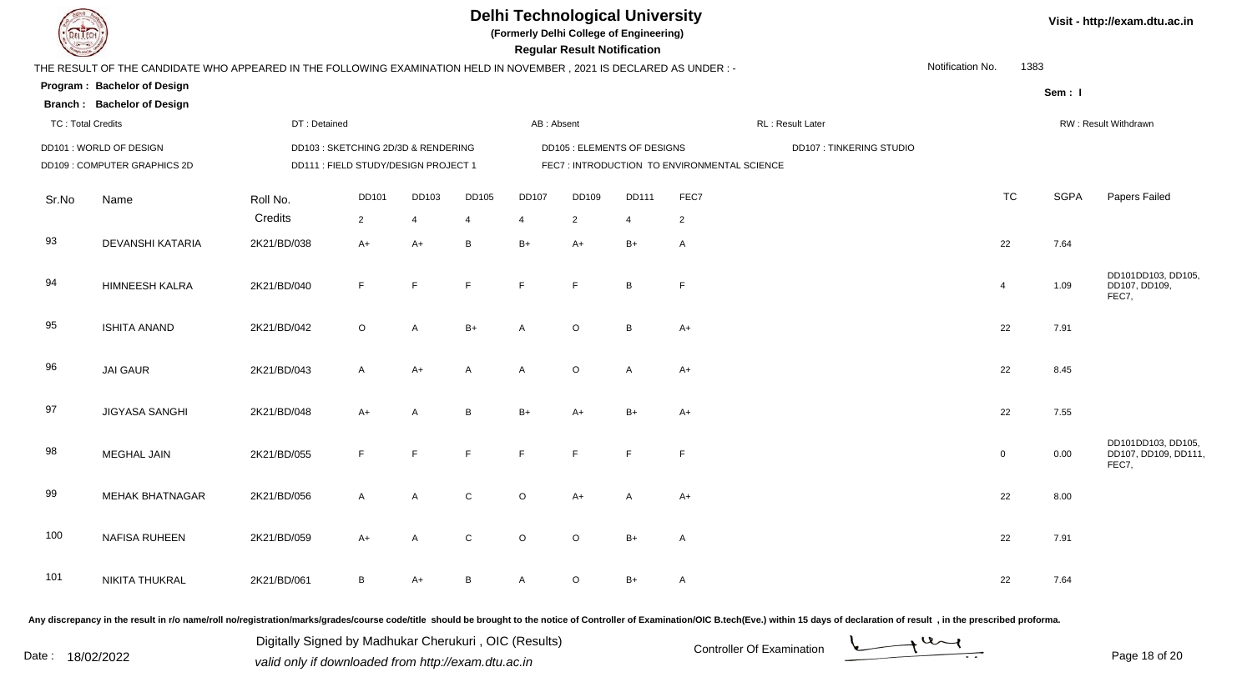

**(Formerly Delhi College of Engineering)**

|  |  |  | Visit - http://exam.dtu.ac.in |
|--|--|--|-------------------------------|
|--|--|--|-------------------------------|

| <b>County</b>            |                                                                                                                      |              |                                      |                |                |                         | <b>Regular Result Notification</b> |                |                                             |                                                                                                                |                          |                      |                                                     |  |
|--------------------------|----------------------------------------------------------------------------------------------------------------------|--------------|--------------------------------------|----------------|----------------|-------------------------|------------------------------------|----------------|---------------------------------------------|----------------------------------------------------------------------------------------------------------------|--------------------------|----------------------|-----------------------------------------------------|--|
|                          | THE RESULT OF THE CANDIDATE WHO APPEARED IN THE FOLLOWING EXAMINATION HELD IN NOVEMBER, 2021 IS DECLARED AS UNDER :- |              |                                      |                |                |                         |                                    |                |                                             |                                                                                                                | Notification No.<br>1383 |                      |                                                     |  |
|                          | Program: Bachelor of Design                                                                                          |              |                                      |                |                |                         |                                    |                |                                             |                                                                                                                |                          | Sem: I               |                                                     |  |
|                          | <b>Branch: Bachelor of Design</b>                                                                                    |              |                                      |                |                |                         |                                    |                |                                             |                                                                                                                |                          |                      |                                                     |  |
| <b>TC: Total Credits</b> |                                                                                                                      | DT: Detained |                                      |                |                | AB: Absent              |                                    |                |                                             | RL: Result Later                                                                                               |                          | RW: Result Withdrawn |                                                     |  |
|                          | DD101 : WORLD OF DESIGN                                                                                              |              | DD103 : SKETCHING 2D/3D & RENDERING  |                |                |                         | <b>DD105 : ELEMENTS OF DESIGNS</b> |                |                                             | <b>DD107: TINKERING STUDIO</b>                                                                                 |                          |                      |                                                     |  |
|                          | DD109: COMPUTER GRAPHICS 2D                                                                                          |              | DD111 : FIELD STUDY/DESIGN PROJECT 1 |                |                |                         |                                    |                | FEC7: INTRODUCTION TO ENVIRONMENTAL SCIENCE |                                                                                                                |                          |                      |                                                     |  |
| Sr.No                    | Name                                                                                                                 | Roll No.     | DD101                                | DD103          | <b>DD105</b>   | <b>DD107</b>            | DD109                              | DD111          | FEC7                                        |                                                                                                                | <b>TC</b>                | <b>SGPA</b>          | Papers Failed                                       |  |
|                          |                                                                                                                      | Credits      | $\overline{2}$                       | $\overline{4}$ | $\overline{4}$ | $\overline{\mathbf{4}}$ | 2                                  | $\overline{4}$ | $\overline{2}$                              |                                                                                                                |                          |                      |                                                     |  |
| 93                       | DEVANSHI KATARIA                                                                                                     | 2K21/BD/038  | $A+$                                 | $A+$           | B              | $B+$                    | $A+$                               | $B+$           | $\overline{A}$                              |                                                                                                                | 22                       | 7.64                 |                                                     |  |
| 94                       | <b>HIMNEESH KALRA</b>                                                                                                | 2K21/BD/040  | F                                    | F              | $\mathsf F$    | F                       | F.                                 | B              | F                                           |                                                                                                                | $\overline{4}$           | 1.09                 | DD101DD103, DD105,<br>DD107, DD109,<br>FEC7,        |  |
| 95                       | <b>ISHITA ANAND</b>                                                                                                  | 2K21/BD/042  | $\circ$                              | $\overline{A}$ | $B+$           | A                       | $\circ$                            | B              | $A+$                                        |                                                                                                                | 22                       | 7.91                 |                                                     |  |
| 96                       | <b>JAI GAUR</b>                                                                                                      | 2K21/BD/043  | $\mathsf{A}$                         | $A+$           | A              | $\mathsf{A}$            | $\circ$                            | $\mathsf{A}$   | $A+$                                        |                                                                                                                | 22                       | 8.45                 |                                                     |  |
| 97                       | <b>JIGYASA SANGHI</b>                                                                                                | 2K21/BD/048  | $A+$                                 | A              | B              | $B+$                    | $A+$                               | $B+$           | $A+$                                        |                                                                                                                | 22                       | 7.55                 |                                                     |  |
| 98                       | MEGHAL JAIN                                                                                                          | 2K21/BD/055  | E                                    | F              | F              | F                       | E                                  | F              | E                                           |                                                                                                                | $\overline{0}$           | 0.00                 | DD101DD103, DD105,<br>DD107, DD109, DD111,<br>FEC7, |  |
| 99                       | <b>MEHAK BHATNAGAR</b>                                                                                               | 2K21/BD/056  | $\mathsf{A}$                         | $\overline{A}$ | $\mathsf C$    | $\circ$                 | $A+$                               | A              | $A+$                                        |                                                                                                                | 22                       | 8.00                 |                                                     |  |
| 100                      | NAFISA RUHEEN                                                                                                        | 2K21/BD/059  | $A+$                                 | $\mathsf{A}$   | $\mathbf C$    | $\circ$                 | $\circ$                            | $B+$           | $\mathsf{A}$                                |                                                                                                                | 22                       | 7.91                 |                                                     |  |
| 101                      | NIKITA THUKRAL                                                                                                       | 2K21/BD/061  | B                                    | $A+$           | $\, {\bf B}$   | $\mathsf{A}$            | $\circ$                            | $B+$           | $\mathsf{A}$                                |                                                                                                                | 22                       | 7.64                 |                                                     |  |
|                          |                                                                                                                      |              |                                      |                |                |                         |                                    |                |                                             | . A series de la factoria de la constitución de la factoria de la factoria de la factoria de la constitución d |                          |                      |                                                     |  |

Any discrepancy in the result in r/o name/roll no/registration/marks/grades/course code/title should be brought to the notice of Controller of Examination/OIC B.tech(Eve.) within 15 days of declaration of result ,in the p

Digitally Signed by Madhukar Cherukuri, OIC (Results)<br>Date : 18/02/2022 valid only if downloaded from http://oxam.dtu.ac.in Digitally Signed by Madhukar Cherukuri , OIC (Results)valid only if downloaded from http://exam.dtu.ac.in

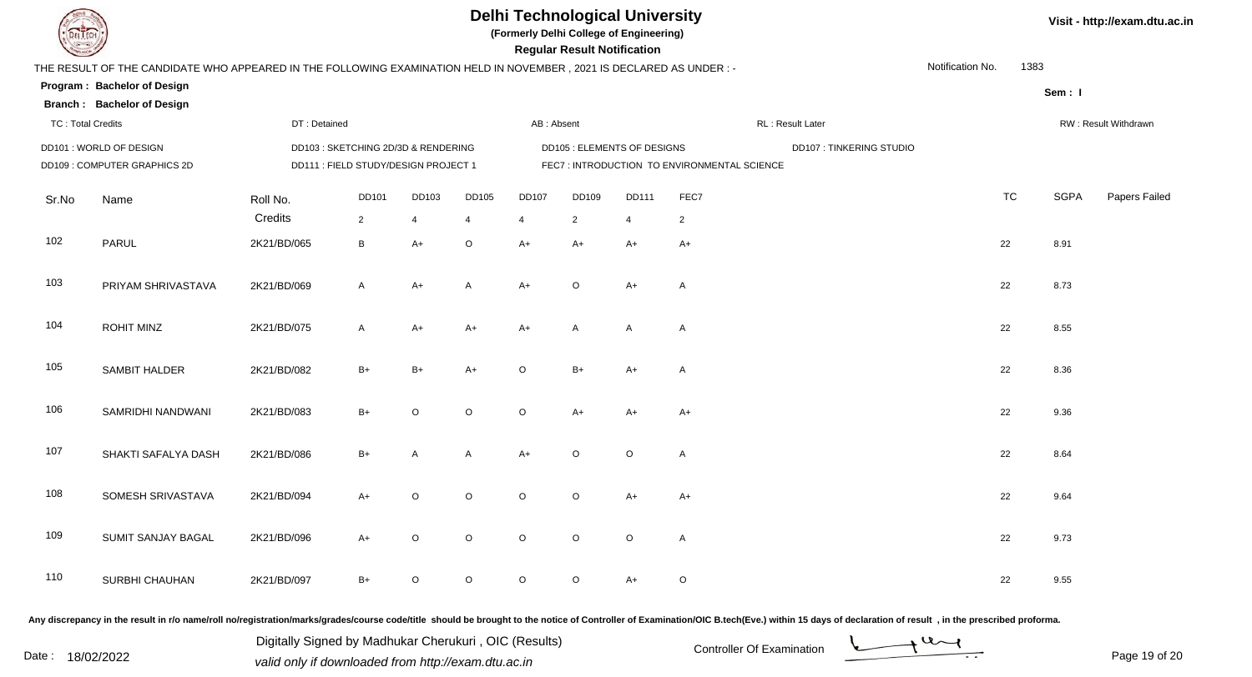

**(Formerly Delhi College of Engineering)**

**Regular Regular Results Notification** 

|  | Visit - http://exam.dtu.ac.in |  |
|--|-------------------------------|--|
|--|-------------------------------|--|

| <b>County of Several Property</b> |                                                                                                                      |                                      |                                    |         |                |                                    | <b>Regular Result Notification</b> |                |                                             |                         |                  |           |             |                      |
|-----------------------------------|----------------------------------------------------------------------------------------------------------------------|--------------------------------------|------------------------------------|---------|----------------|------------------------------------|------------------------------------|----------------|---------------------------------------------|-------------------------|------------------|-----------|-------------|----------------------|
|                                   | THE RESULT OF THE CANDIDATE WHO APPEARED IN THE FOLLOWING EXAMINATION HELD IN NOVEMBER, 2021 IS DECLARED AS UNDER :- |                                      |                                    |         |                |                                    |                                    |                |                                             |                         | Notification No. | 1383      |             |                      |
|                                   | Program: Bachelor of Design                                                                                          |                                      |                                    |         |                |                                    |                                    |                |                                             |                         |                  |           | Sem: I      |                      |
|                                   | <b>Branch: Bachelor of Design</b>                                                                                    |                                      |                                    |         |                |                                    |                                    |                |                                             |                         |                  |           |             |                      |
| <b>TC: Total Credits</b>          |                                                                                                                      | DT: Detained                         |                                    |         |                | AB: Absent                         |                                    |                |                                             | RL: Result Later        |                  |           |             | RW: Result Withdrawn |
|                                   | DD101: WORLD OF DESIGN                                                                                               |                                      | DD103: SKETCHING 2D/3D & RENDERING |         |                | <b>DD105 : ELEMENTS OF DESIGNS</b> |                                    |                |                                             | DD107: TINKERING STUDIO |                  |           |             |                      |
|                                   | DD109 : COMPUTER GRAPHICS 2D                                                                                         | DD111 : FIELD STUDY/DESIGN PROJECT 1 |                                    |         |                |                                    |                                    |                | FEC7: INTRODUCTION TO ENVIRONMENTAL SCIENCE |                         |                  |           |             |                      |
| Sr.No                             | Name                                                                                                                 | Roll No.                             | <b>DD101</b>                       | DD103   | DD105          | <b>DD107</b>                       | DD109                              | <b>DD111</b>   | FEC7                                        |                         |                  | <b>TC</b> | <b>SGPA</b> | Papers Failed        |
|                                   |                                                                                                                      | Credits                              | $\overline{2}$                     | 4       | $\overline{4}$ | 4                                  | $\overline{2}$                     | $\overline{4}$ | $\overline{2}$                              |                         |                  |           |             |                      |
| 102                               | PARUL                                                                                                                | 2K21/BD/065                          | $\, {\bf B}$                       | $A+$    | $\mathsf O$    | $A+$                               | $A+$                               | $A+$           | $A+$                                        |                         |                  | 22        | 8.91        |                      |
| 103                               | PRIYAM SHRIVASTAVA                                                                                                   | 2K21/BD/069                          | A                                  | $A+$    | $\mathsf{A}$   | $A+$                               | $\circ$                            | $A+$           | $\mathsf{A}$                                |                         |                  | 22        | 8.73        |                      |
| 104                               | <b>ROHIT MINZ</b>                                                                                                    | 2K21/BD/075                          | A                                  | $A+$    | $A+$           | A+                                 | A                                  | A              | $\mathsf{A}$                                |                         |                  | 22        | 8.55        |                      |
| 105                               | SAMBIT HALDER                                                                                                        | 2K21/BD/082                          | $B+$                               | $B+$    | $A+$           | $\circ$                            | $B+$                               | $A+$           | A                                           |                         |                  | 22        | 8.36        |                      |
| 106                               | SAMRIDHI NANDWANI                                                                                                    | 2K21/BD/083                          | $B+$                               | $\circ$ | $\mathsf O$    | $\circ$                            | $A+$                               | A+             | $A+$                                        |                         |                  | 22        | 9.36        |                      |
| 107                               | SHAKTI SAFALYA DASH                                                                                                  | 2K21/BD/086                          | $B+$                               | A       | A              | $A+$                               | $\circ$                            | $\circ$        | $\mathsf{A}$                                |                         |                  | 22        | 8.64        |                      |
| 108                               | SOMESH SRIVASTAVA                                                                                                    | 2K21/BD/094                          | $A+$                               | $\circ$ | $\circ$        | $\circ$                            | $\circ$                            | $A+$           | $A+$                                        |                         |                  | 22        | 9.64        |                      |
| 109                               | SUMIT SANJAY BAGAL                                                                                                   | 2K21/BD/096                          | $A+$                               | $\circ$ | $\circ$        | $\circ$                            | $\circ$                            | $\circ$        | $\mathsf A$                                 |                         |                  | 22        | 9.73        |                      |
| 110                               | SURBHI CHAUHAN                                                                                                       | 2K21/BD/097                          | $B+$                               | $\circ$ | $\mathsf O$    | $\circ$                            | $\mathsf O$                        | $A+$           | $\mathsf O$                                 |                         |                  | 22        | 9.55        |                      |

Any discrepancy in the result in r/o name/roll no/registration/marks/grades/course code/title should be brought to the notice of Controller of Examination/OIC B.tech(Eve.) within 15 days of declaration of result, in the pr